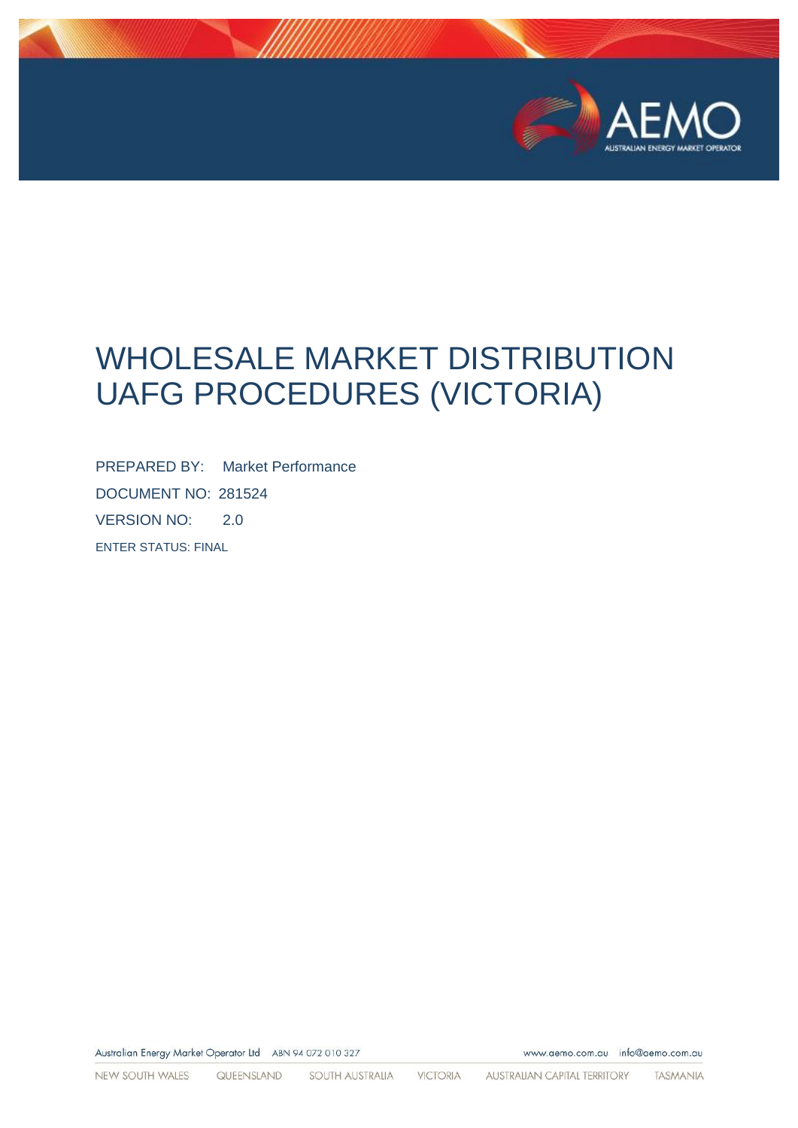

# WHOLESALE MARKET DISTRIBUTION UAFG PROCEDURES (VICTORIA)

PREPARED BY: Market Performance DOCUMENT NO: 281524 VERSION NO: 2.0 ENTER STATUS: FINAL

Australian Energy Market Operator Ltd ABN 94 072 010 327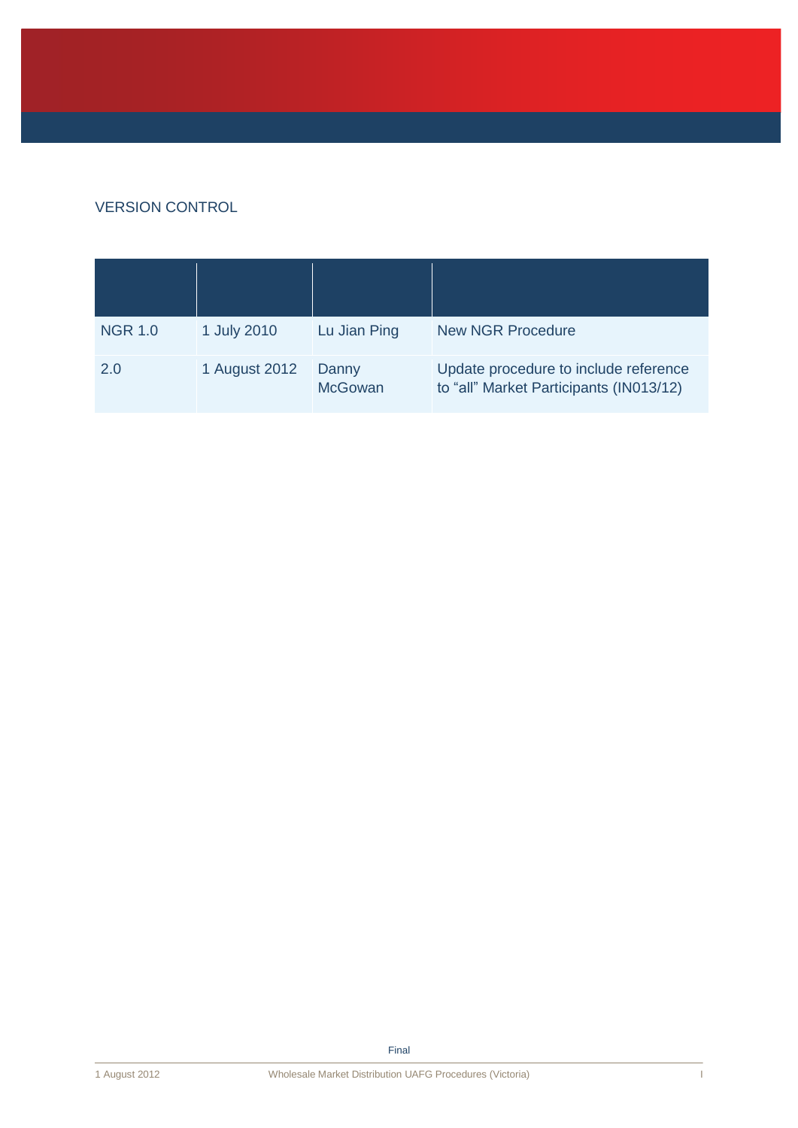### VERSION CONTROL

| <b>NGR 1.0</b> | 1 July 2010   | Lu Jian Ping            | <b>New NGR Procedure</b>                                                         |
|----------------|---------------|-------------------------|----------------------------------------------------------------------------------|
| 2.0            | 1 August 2012 | Danny<br><b>McGowan</b> | Update procedure to include reference<br>to "all" Market Participants (IN013/12) |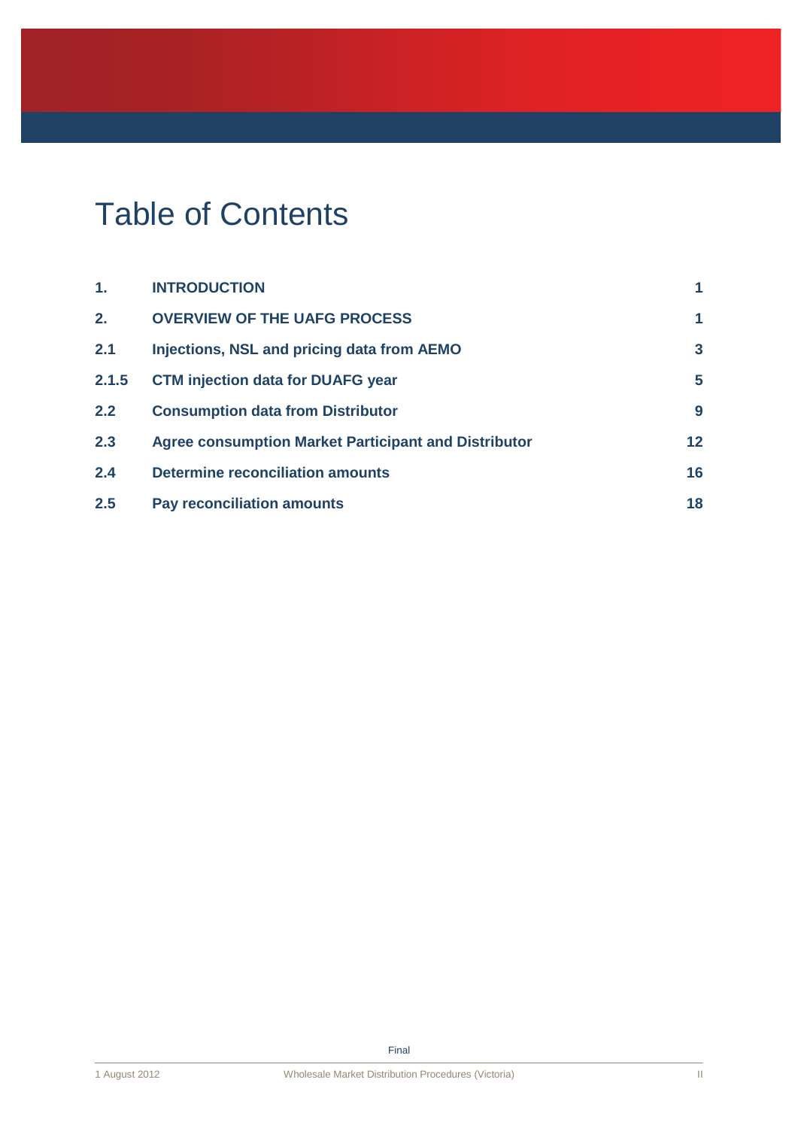# Table of Contents

| $\mathbf 1$ . | <b>INTRODUCTION</b>                                         | 1  |
|---------------|-------------------------------------------------------------|----|
| 2.            | <b>OVERVIEW OF THE UAFG PROCESS</b>                         | 1  |
| 2.1           | Injections, NSL and pricing data from AEMO                  | 3  |
| 2.1.5         | <b>CTM injection data for DUAFG year</b>                    | 5  |
| 2.2           | <b>Consumption data from Distributor</b>                    | 9  |
| 2.3           | <b>Agree consumption Market Participant and Distributor</b> | 12 |
| 2.4           | <b>Determine reconciliation amounts</b>                     | 16 |
| 2.5           | <b>Pay reconciliation amounts</b>                           | 18 |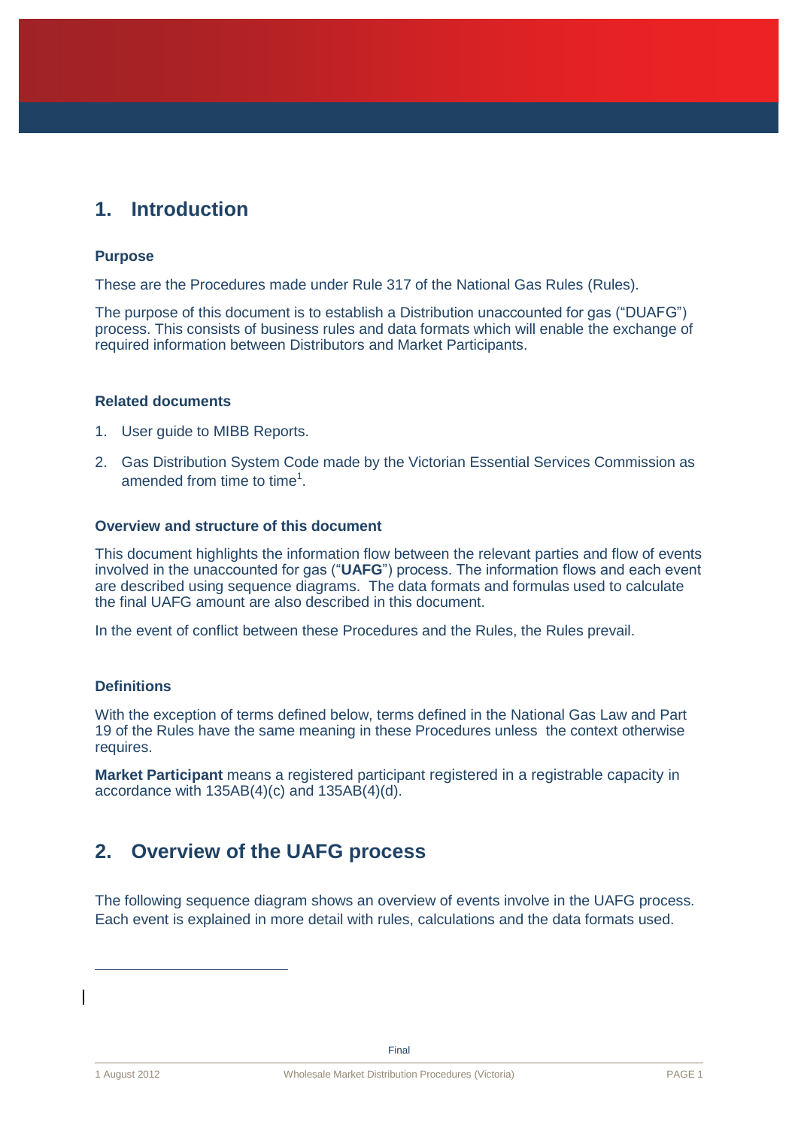# <span id="page-3-0"></span>**1. Introduction**

#### **Purpose**

These are the Procedures made under Rule 317 of the National Gas Rules (Rules).

The purpose of this document is to establish a Distribution unaccounted for gas ("DUAFG") process. This consists of business rules and data formats which will enable the exchange of required information between Distributors and Market Participants.

#### **Related documents**

- 1. User guide to MIBB Reports.
- 2. Gas Distribution System Code made by the Victorian Essential Services Commission as amended from time to time<sup>1</sup>.

#### **Overview and structure of this document**

This document highlights the information flow between the relevant parties and flow of events involved in the unaccounted for gas ("**UAFG**") process. The information flows and each event are described using sequence diagrams. The data formats and formulas used to calculate the final UAFG amount are also described in this document.

In the event of conflict between these Procedures and the Rules, the Rules prevail.

### **Definitions**

With the exception of terms defined below, terms defined in the National Gas Law and Part 19 of the Rules have the same meaning in these Procedures unless the context otherwise requires.

**Market Participant** means a registered participant registered in a registrable capacity in accordance with 135AB(4)(c) and 135AB(4)(d).

# <span id="page-3-1"></span>**2. Overview of the UAFG process**

The following sequence diagram shows an overview of events involve in the UAFG process. Each event is explained in more detail with rules, calculations and the data formats used.

 $\overline{a}$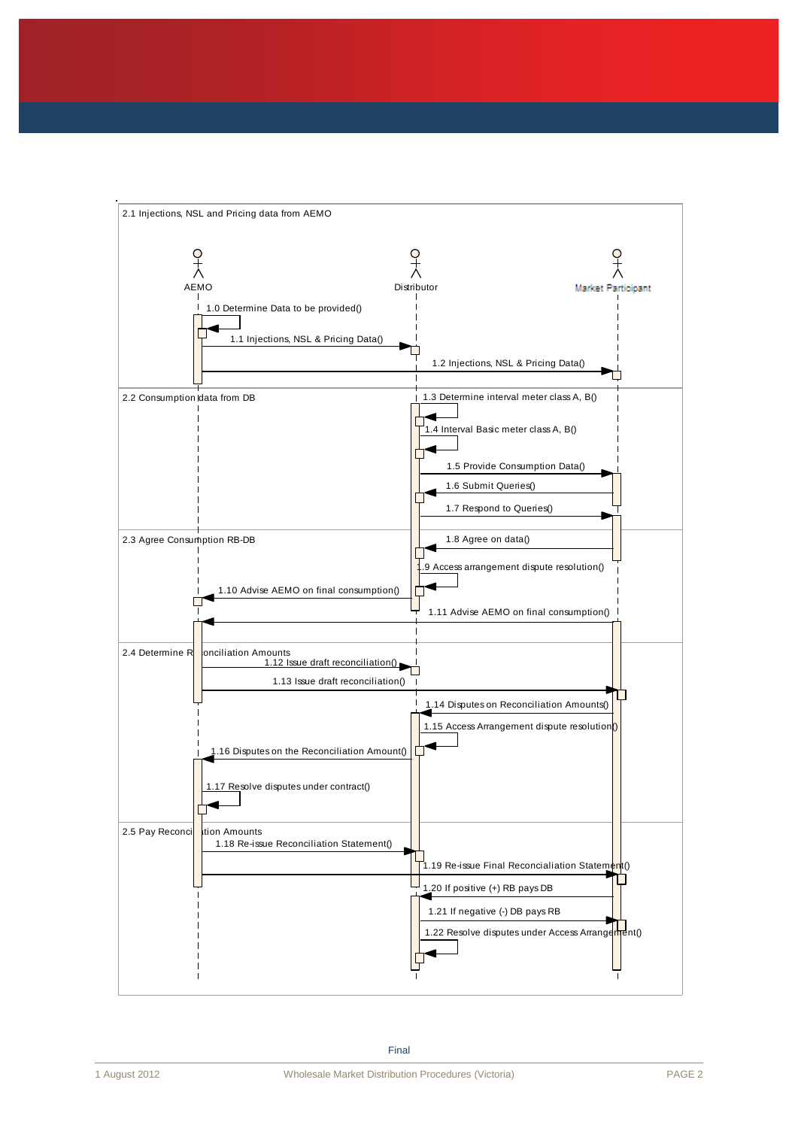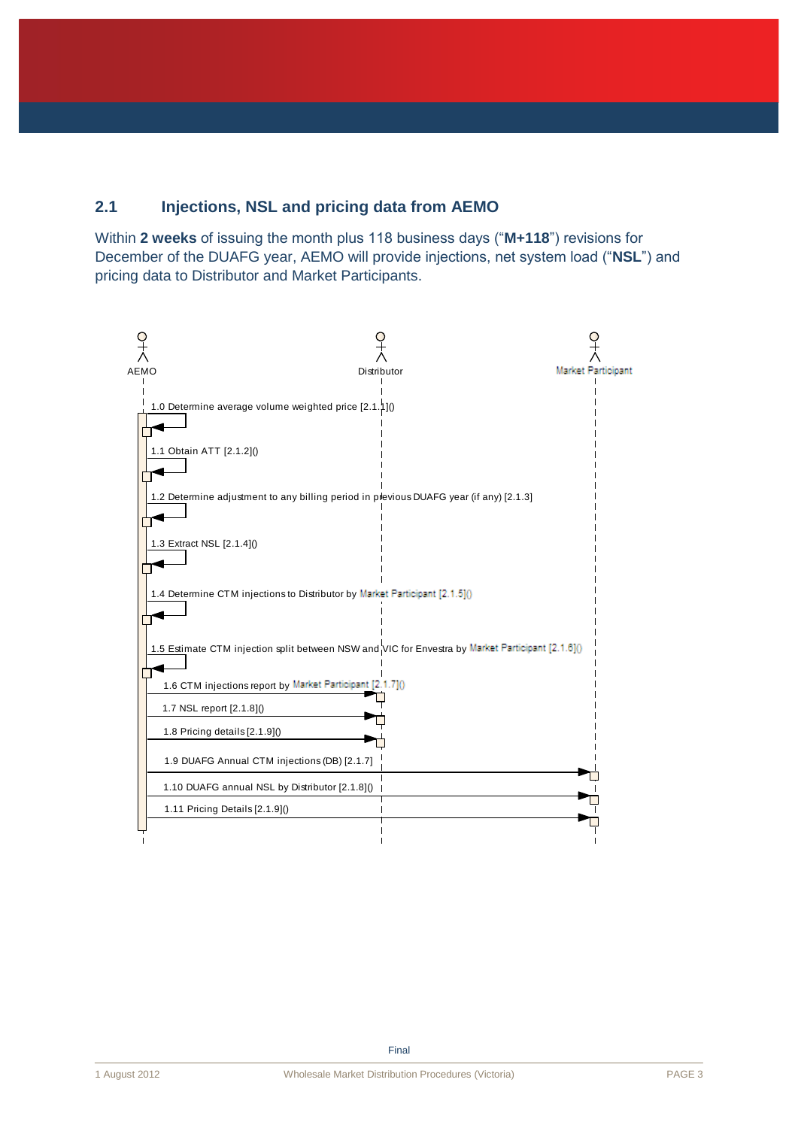# <span id="page-5-0"></span>**2.1 Injections, NSL and pricing data from AEMO**

Within **2 weeks** of issuing the month plus 118 business days ("**M+118**") revisions for December of the DUAFG year, AEMO will provide injections, net system load ("**NSL**") and pricing data to Distributor and Market Participants.

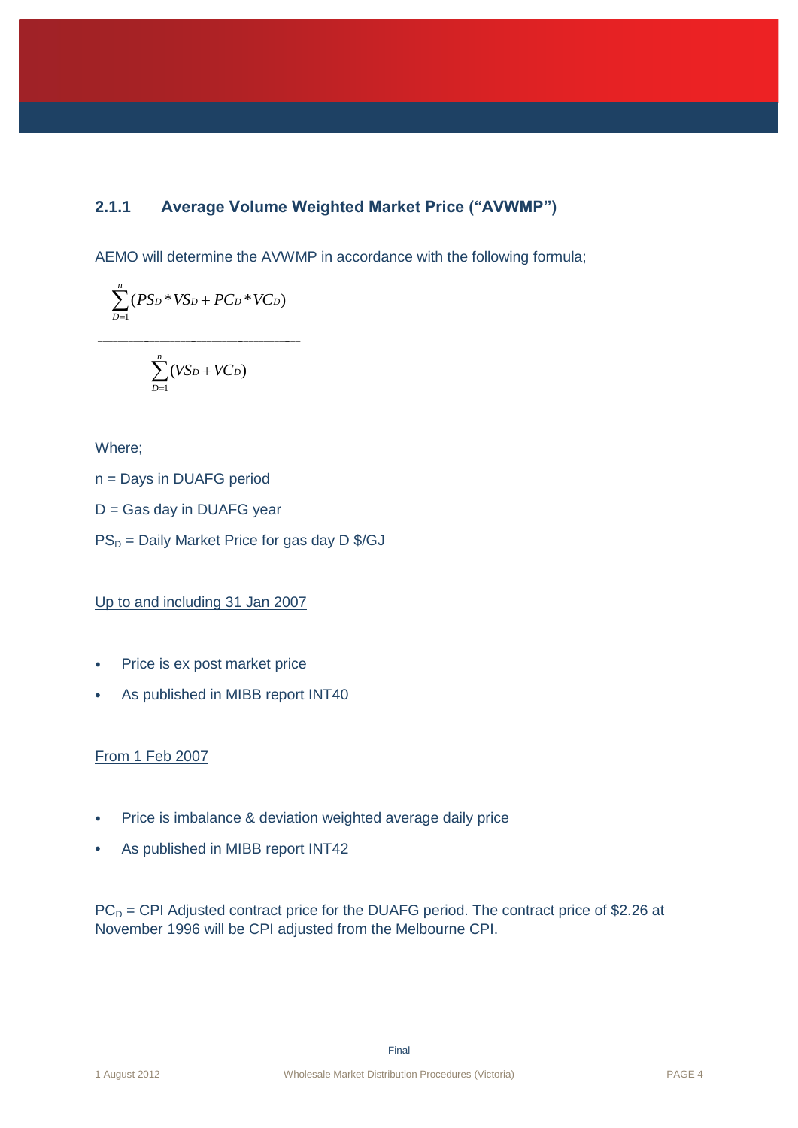### **2.1.1 Average Volume Weighted Market Price ("AVWMP")**

AEMO will determine the AVWMP in accordance with the following formula;

$$
\sum_{D=1}^n (PS_D*V\!S_D+PC_D*VC_D)
$$

$$
\sum_{D=1}^n (V\!Sp + VC_D)
$$

\_\_\_\_\_\_\_\_\_\_\_\_\_\_\_\_\_\_\_\_\_\_\_\_\_\_\_\_\_\_\_\_\_\_\_\_\_\_\_\_\_\_\_

Where;

- n = Days in DUAFG period
- D = Gas day in DUAFG year
- $PS<sub>D</sub>$  = Daily Market Price for gas day D \$/GJ

Up to and including 31 Jan 2007

- Price is ex post market price
- As published in MIBB report INT40

### From 1 Feb 2007

- Price is imbalance & deviation weighted average daily price
- As published in MIBB report INT42

 $PC<sub>D</sub>$  = CPI Adjusted contract price for the DUAFG period. The contract price of \$2.26 at November 1996 will be CPI adjusted from the Melbourne CPI.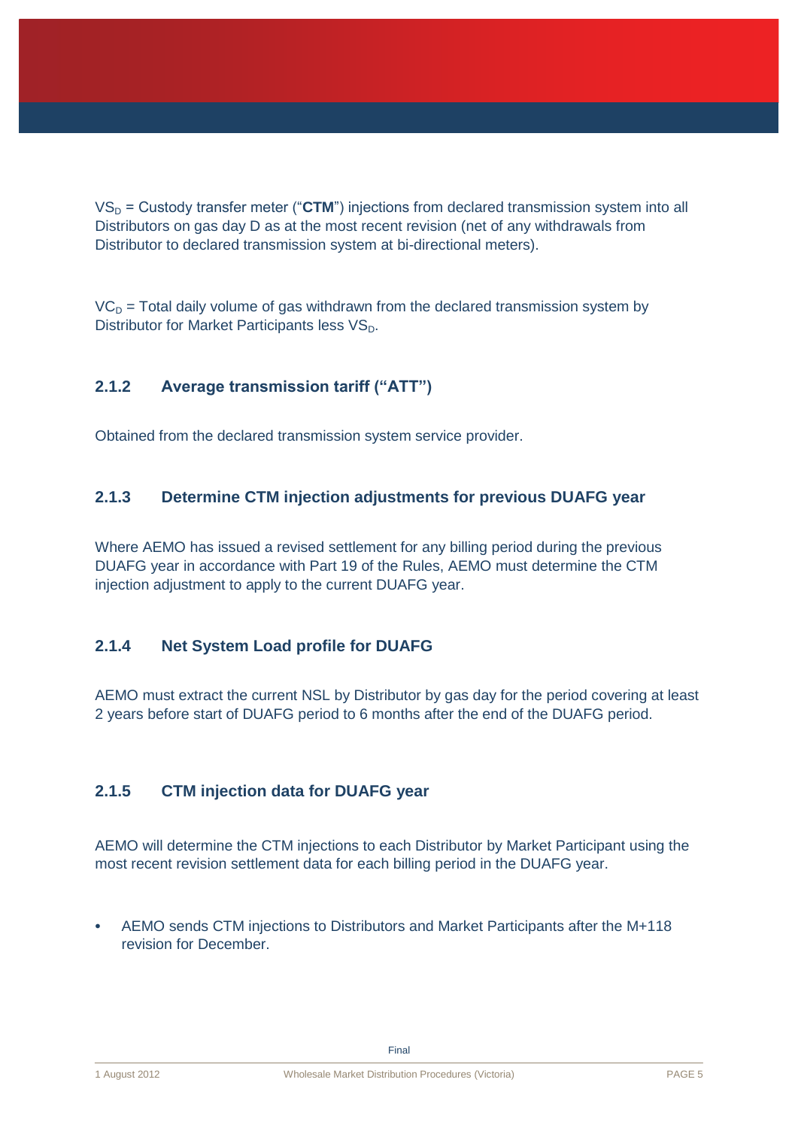$VS_D$  = Custody transfer meter ("CTM") injections from declared transmission system into all Distributors on gas day D as at the most recent revision (net of any withdrawals from Distributor to declared transmission system at bi-directional meters).

 $VC<sub>D</sub>$  = Total daily volume of gas withdrawn from the declared transmission system by Distributor for Market Participants less VS<sub>D</sub>.

### **2.1.2 Average transmission tariff ("ATT")**

Obtained from the declared transmission system service provider.

### **2.1.3 Determine CTM injection adjustments for previous DUAFG year**

Where AEMO has issued a revised settlement for any billing period during the previous DUAFG year in accordance with Part 19 of the Rules, AEMO must determine the CTM injection adjustment to apply to the current DUAFG year.

### **2.1.4 Net System Load profile for DUAFG**

AEMO must extract the current NSL by Distributor by gas day for the period covering at least 2 years before start of DUAFG period to 6 months after the end of the DUAFG period.

### <span id="page-7-0"></span>**2.1.5 CTM injection data for DUAFG year**

AEMO will determine the CTM injections to each Distributor by Market Participant using the most recent revision settlement data for each billing period in the DUAFG year.

 AEMO sends CTM injections to Distributors and Market Participants after the M+118 revision for December.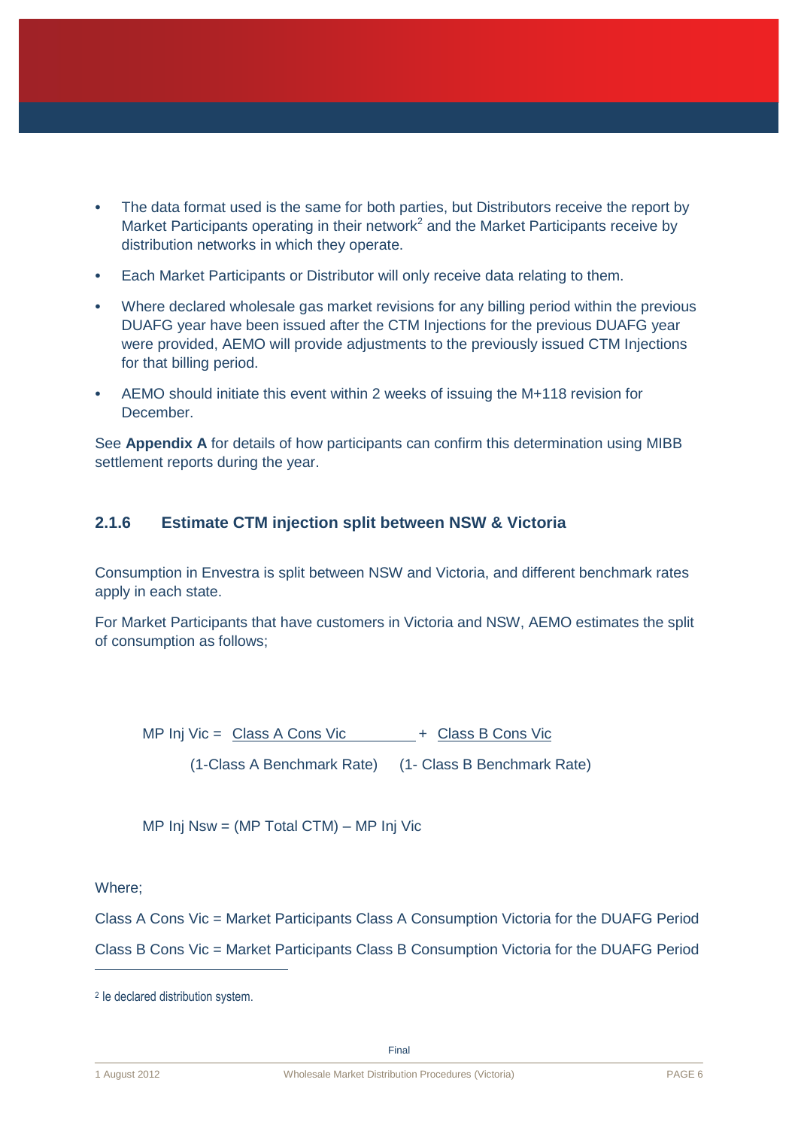- The data format used is the same for both parties, but Distributors receive the report by Market Participants operating in their network<sup>2</sup> and the Market Participants receive by distribution networks in which they operate.
- Each Market Participants or Distributor will only receive data relating to them.
- Where declared wholesale gas market revisions for any billing period within the previous DUAFG year have been issued after the CTM Injections for the previous DUAFG year were provided, AEMO will provide adjustments to the previously issued CTM Injections for that billing period.
- AEMO should initiate this event within 2 weeks of issuing the M+118 revision for December.

See **Appendix A** for details of how participants can confirm this determination using MIBB settlement reports during the year.

### **2.1.6 Estimate CTM injection split between NSW & Victoria**

Consumption in Envestra is split between NSW and Victoria, and different benchmark rates apply in each state.

For Market Participants that have customers in Victoria and NSW, AEMO estimates the split of consumption as follows;

MP Inj Vic =  $\frac{Class A Cons Vic}{}$  +  $Class B Cons Vic$ 

(1-Class A Benchmark Rate) (1- Class B Benchmark Rate)

MP Inj Nsw = (MP Total CTM) – MP Inj Vic

Where;

 $\overline{a}$ 

Class A Cons Vic = Market Participants Class A Consumption Victoria for the DUAFG Period Class B Cons Vic = Market Participants Class B Consumption Victoria for the DUAFG Period

<sup>2</sup> Ie declared distribution system.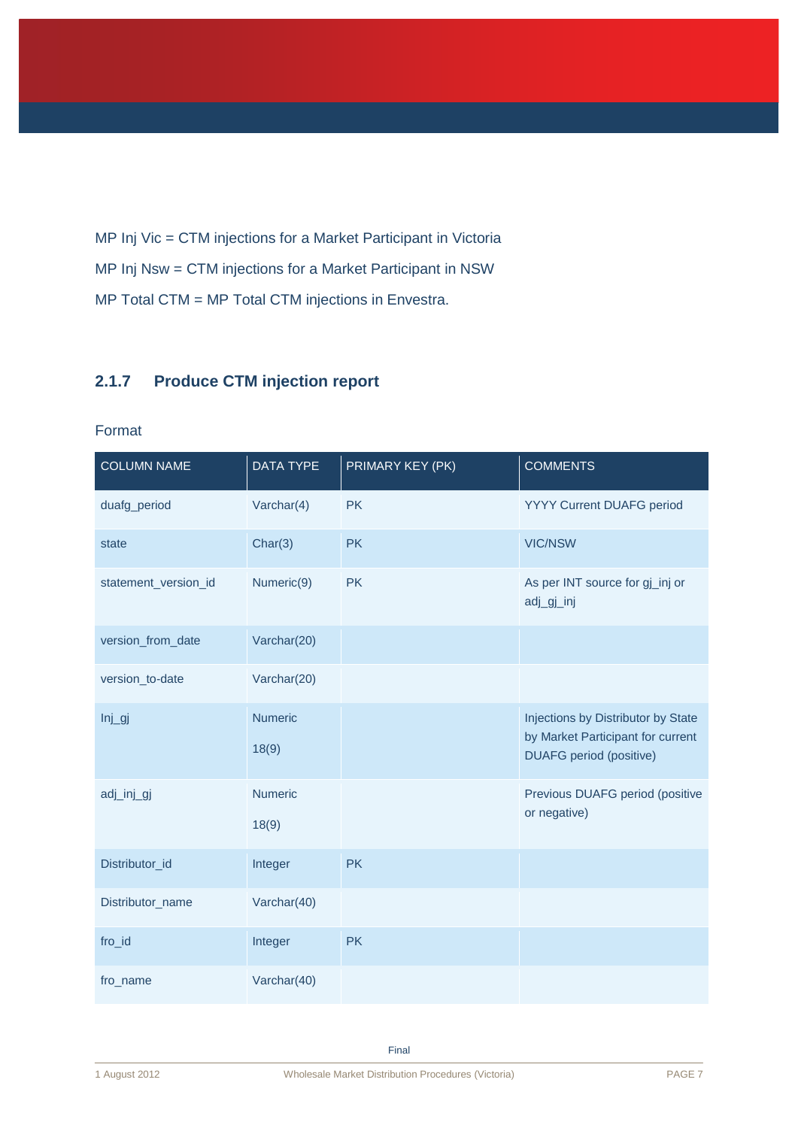MP Inj Vic = CTM injections for a Market Participant in Victoria MP Inj Nsw = CTM injections for a Market Participant in NSW MP Total CTM = MP Total CTM injections in Envestra.

### **2.1.7 Produce CTM injection report**

#### Format

| <b>COLUMN NAME</b>   | <b>DATA TYPE</b> | PRIMARY KEY (PK) | <b>COMMENTS</b>                                                                                           |
|----------------------|------------------|------------------|-----------------------------------------------------------------------------------------------------------|
| duafg_period         | Varchar $(4)$    | <b>PK</b>        | YYYY Current DUAFG period                                                                                 |
| state                | Char(3)          | <b>PK</b>        | <b>VIC/NSW</b>                                                                                            |
| statement_version_id | Numeric(9)       | <b>PK</b>        | As per INT source for gj_inj or<br>adj_gj_inj                                                             |
| version_from_date    | Varchar(20)      |                  |                                                                                                           |
| version_to-date      | Varchar(20)      |                  |                                                                                                           |
| $Inj$ <i>_gj</i>     | Numeric<br>18(9) |                  | Injections by Distributor by State<br>by Market Participant for current<br><b>DUAFG</b> period (positive) |
| adj_inj_gj           | Numeric<br>18(9) |                  | Previous DUAFG period (positive<br>or negative)                                                           |
| Distributor_id       | Integer          | <b>PK</b>        |                                                                                                           |
| Distributor_name     | Varchar(40)      |                  |                                                                                                           |
| fro_id               | Integer          | <b>PK</b>        |                                                                                                           |
| fro_name             | Varchar(40)      |                  |                                                                                                           |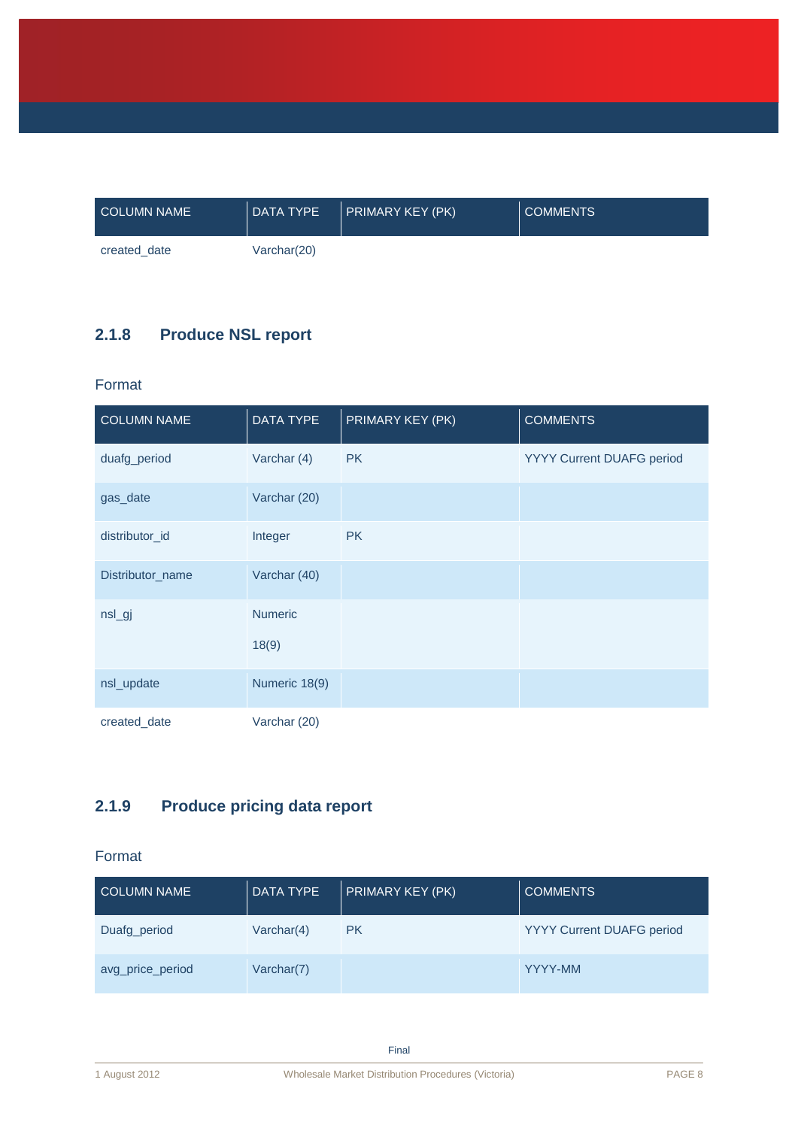| <b>COLUMN NAME</b> | DATA TYPE   | $\vert$ PRIMARY KEY (PK) | <b>COMMENTS</b> |
|--------------------|-------------|--------------------------|-----------------|
| created date       | Varchar(20) |                          |                 |

# **2.1.8 Produce NSL report**

### Format

| <b>COLUMN NAME</b> | <b>DATA TYPE</b> | PRIMARY KEY (PK) | <b>COMMENTS</b>           |
|--------------------|------------------|------------------|---------------------------|
| duafg_period       | Varchar (4)      | <b>PK</b>        | YYYY Current DUAFG period |
| gas_date           | Varchar (20)     |                  |                           |
| distributor_id     | Integer          | PK               |                           |
| Distributor_name   | Varchar (40)     |                  |                           |
| nsl_gj             | <b>Numeric</b>   |                  |                           |
|                    | 18(9)            |                  |                           |
| nsl_update         | Numeric 18(9)    |                  |                           |
| created_date       | Varchar (20)     |                  |                           |

# **2.1.9 Produce pricing data report**

### Format

| <b>COLUMN NAME</b> | <b>DATA TYPE</b> | PRIMARY KEY (PK) | <b>COMMENTS</b>                  |
|--------------------|------------------|------------------|----------------------------------|
| Duafg_period       | Varchar(4)       | <b>PK</b>        | <b>YYYY Current DUAFG period</b> |
| avg_price_period   | Varchar(7)       |                  | YYYY-MM                          |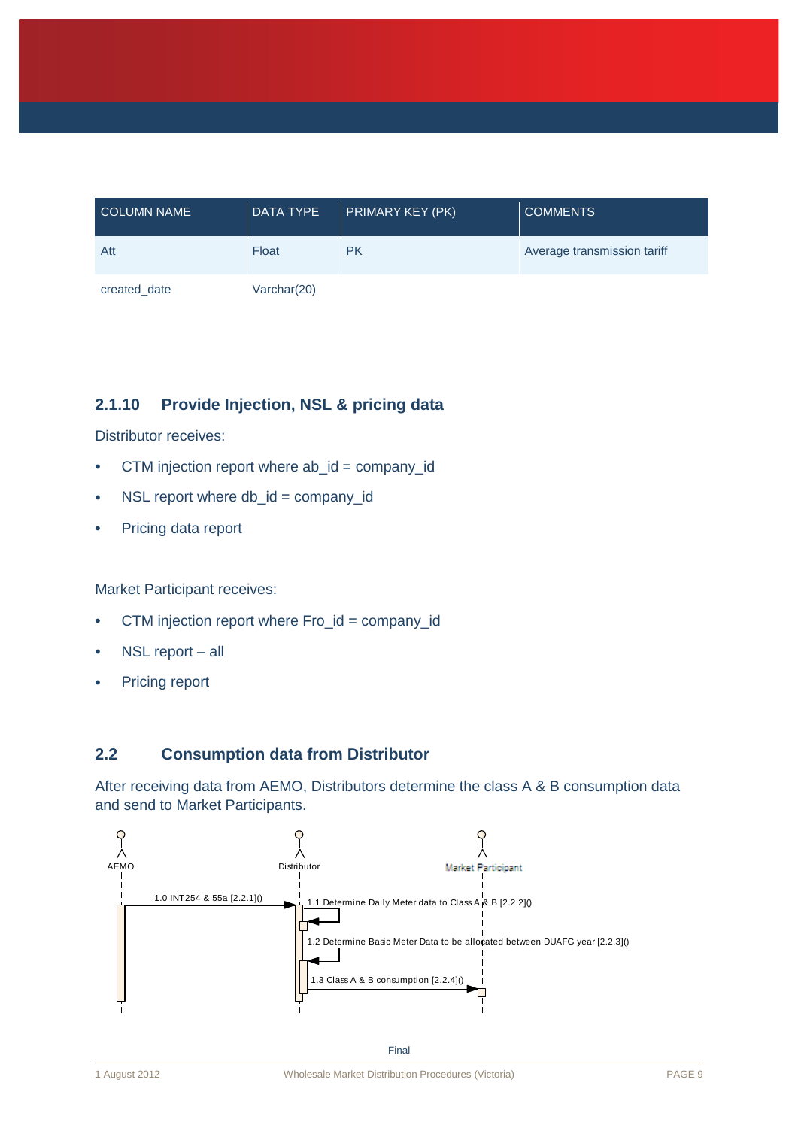| <b>COLUMN NAME</b> | <b>DATA TYPE</b> | <b>PRIMARY KEY (PK)</b> | <b>COMMENTS</b>             |
|--------------------|------------------|-------------------------|-----------------------------|
| Att                | Float            | <b>PK</b>               | Average transmission tariff |
| created date       | Varchar(20)      |                         |                             |

### **2.1.10 Provide Injection, NSL & pricing data**

Distributor receives:

- CTM injection report where ab\_id = company\_id
- $\cdot$  NSL report where db\_id = company\_id
- Pricing data report

Market Participant receives:

- CTM injection report where Fro\_id = company\_id
- NSL report all
- Pricing report

### <span id="page-11-0"></span>**2.2 Consumption data from Distributor**

After receiving data from AEMO, Distributors determine the class A & B consumption data and send to Market Participants.

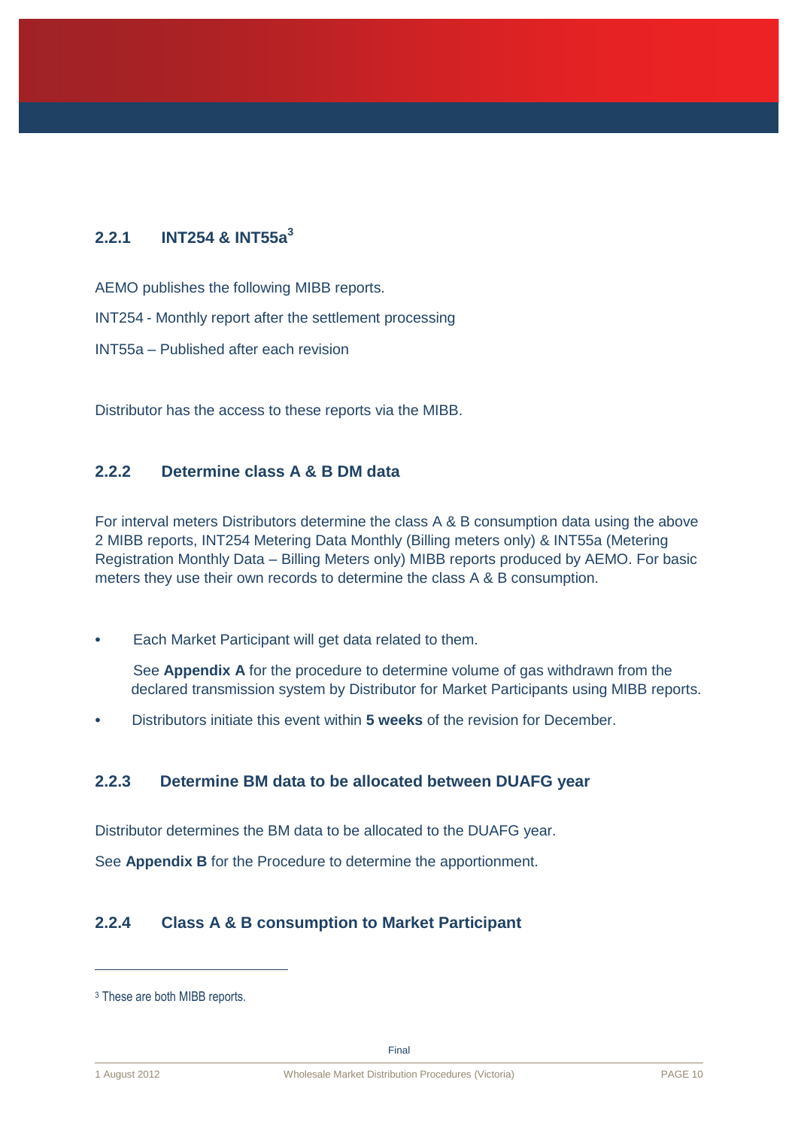## **2.2.1 INT254 & INT55a<sup>3</sup>**

AEMO publishes the following MIBB reports.

INT254 - Monthly report after the settlement processing

INT55a – Published after each revision

Distributor has the access to these reports via the MIBB.

### **2.2.2 Determine class A & B DM data**

For interval meters Distributors determine the class A & B consumption data using the above 2 MIBB reports, INT254 Metering Data Monthly (Billing meters only) & INT55a (Metering Registration Monthly Data – Billing Meters only) MIBB reports produced by AEMO. For basic meters they use their own records to determine the class A & B consumption.

Each Market Participant will get data related to them.

See **Appendix A** for the procedure to determine volume of gas withdrawn from the declared transmission system by Distributor for Market Participants using MIBB reports.

Distributors initiate this event within **5 weeks** of the revision for December.

### **2.2.3 Determine BM data to be allocated between DUAFG year**

Distributor determines the BM data to be allocated to the DUAFG year.

See **Appendix B** for the Procedure to determine the apportionment.

### **2.2.4 Class A & B consumption to Market Participant**

 $\overline{a}$ 

<sup>&</sup>lt;sup>3</sup> These are both MIBB reports.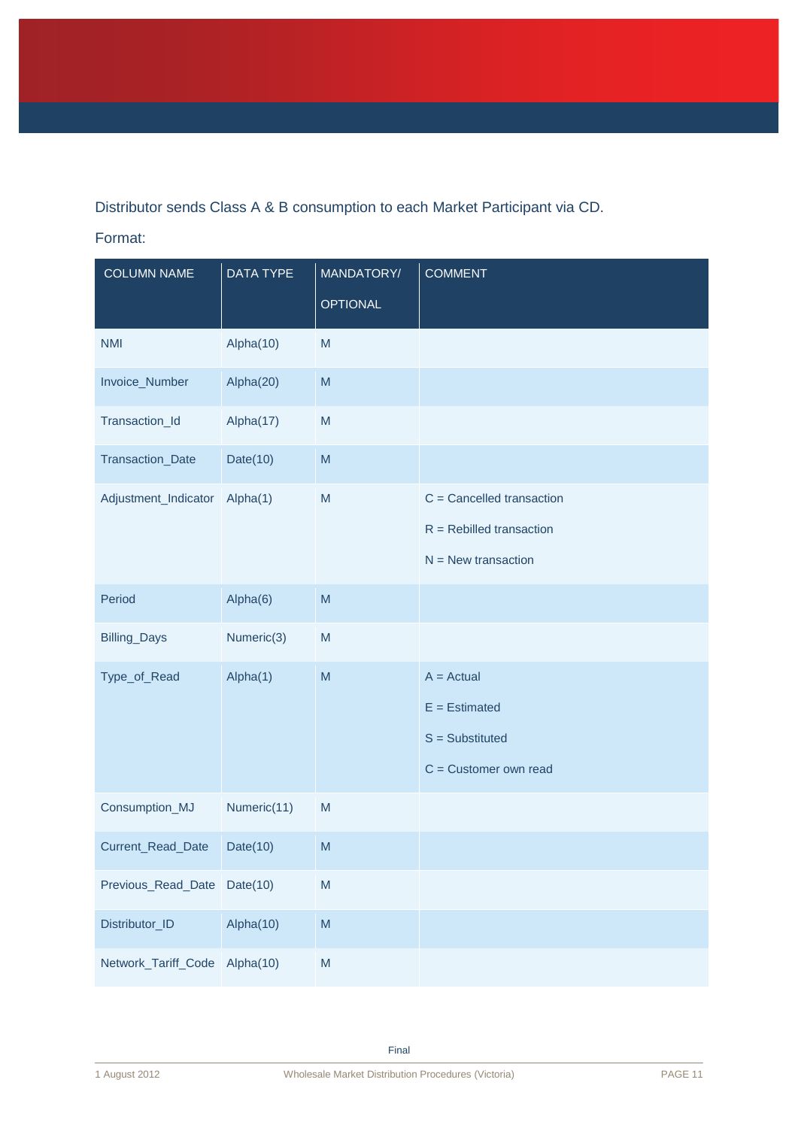Distributor sends Class A & B consumption to each Market Participant via CD.

### Format:

| <b>COLUMN NAME</b>            | DATA TYPE   | MANDATORY/                                                                                                 | <b>COMMENT</b>              |
|-------------------------------|-------------|------------------------------------------------------------------------------------------------------------|-----------------------------|
|                               |             | <b>OPTIONAL</b>                                                                                            |                             |
| <b>NMI</b>                    | Alpha(10)   | M                                                                                                          |                             |
| Invoice_Number                | Alpha(20)   | M                                                                                                          |                             |
| Transaction_Id                | Alpha(17)   | M                                                                                                          |                             |
| Transaction_Date              | Date $(10)$ | M                                                                                                          |                             |
| Adjustment_Indicator          | Alpha(1)    | M                                                                                                          | $C =$ Cancelled transaction |
|                               |             |                                                                                                            | $R =$ Rebilled transaction  |
|                               |             |                                                                                                            | $N =$ New transaction       |
| Period                        | Alpha(6)    | M                                                                                                          |                             |
| Billing_Days                  | Numeric(3)  | M                                                                                                          |                             |
| Type_of_Read                  | Alpha(1)    | M                                                                                                          | $A = Actual$                |
|                               |             |                                                                                                            | $E =$ Estimated             |
|                               |             |                                                                                                            | $S =$ Substituted           |
|                               |             |                                                                                                            | $C =$ Customer own read     |
| Consumption_MJ                | Numeric(11) | M                                                                                                          |                             |
| Current_Read_Date             | Date(10)    | M                                                                                                          |                             |
| Previous_Read_Date            | Date $(10)$ | $\mathsf{M}% _{T}=\mathsf{M}_{T}\!\left( a,b\right) ,\ \mathsf{M}_{T}=\mathsf{M}_{T}\!\left( a,b\right) ,$ |                             |
| Distributor_ID                | Alpha(10)   | M                                                                                                          |                             |
| Network_Tariff_Code Alpha(10) |             | $\mathsf{M}% _{T}=\mathsf{M}_{T}\!\left( a,b\right) ,\ \mathsf{M}_{T}=\mathsf{M}_{T}\!\left( a,b\right) ,$ |                             |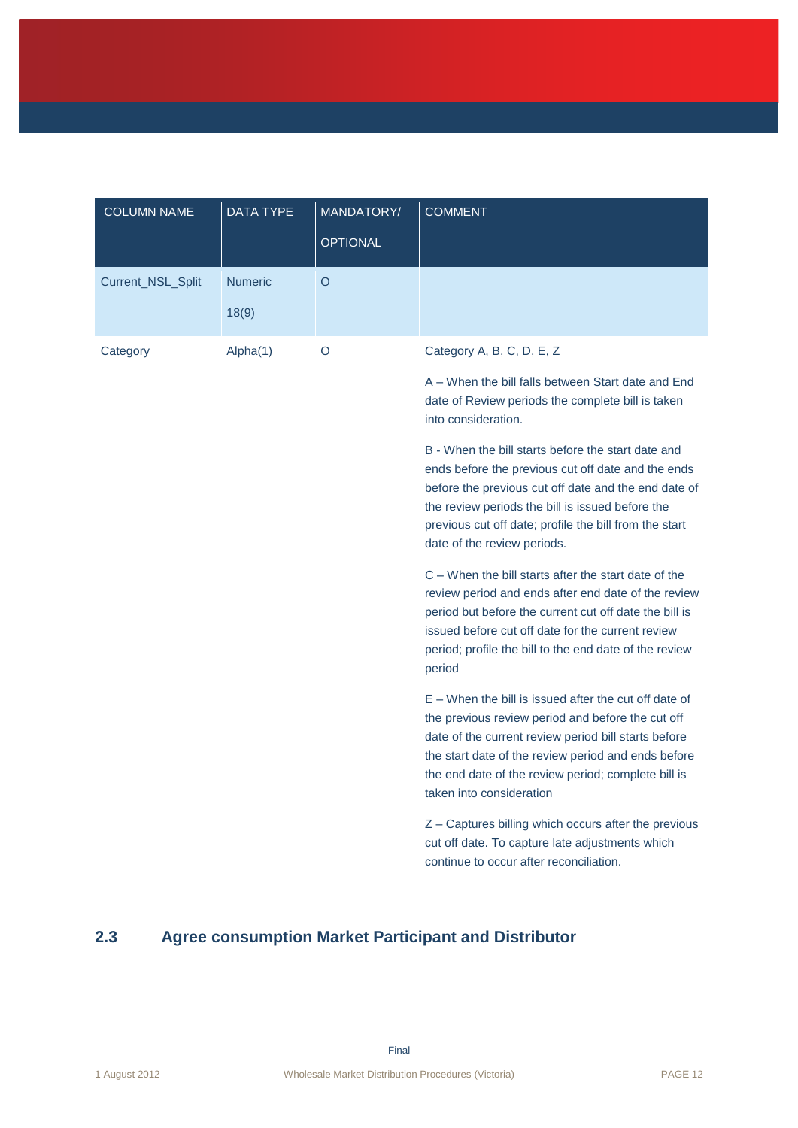| <b>COLUMN NAME</b> | <b>DATA TYPE</b>        | MANDATORY/<br><b>OPTIONAL</b> | <b>COMMENT</b>                                                                                                                                                                                                                                                                                                                                                                                                                                                               |
|--------------------|-------------------------|-------------------------------|------------------------------------------------------------------------------------------------------------------------------------------------------------------------------------------------------------------------------------------------------------------------------------------------------------------------------------------------------------------------------------------------------------------------------------------------------------------------------|
| Current_NSL_Split  | <b>Numeric</b><br>18(9) | $\circ$                       |                                                                                                                                                                                                                                                                                                                                                                                                                                                                              |
| Category           | Alpha(1)                | O                             | Category A, B, C, D, E, Z<br>A – When the bill falls between Start date and End<br>date of Review periods the complete bill is taken<br>into consideration.<br>B - When the bill starts before the start date and<br>ends before the previous cut off date and the ends<br>before the previous cut off date and the end date of<br>the review periods the bill is issued before the<br>previous cut off date; profile the bill from the start<br>date of the review periods. |
|                    |                         |                               | C – When the bill starts after the start date of the<br>review period and ends after end date of the review<br>period but before the current cut off date the bill is<br>issued before cut off date for the current review<br>period; profile the bill to the end date of the review<br>period                                                                                                                                                                               |
|                    |                         |                               | $E -$ When the bill is issued after the cut off date of<br>the previous review period and before the cut off<br>date of the current review period bill starts before<br>the start date of the review period and ends before<br>the end date of the review period; complete bill is<br>taken into consideration                                                                                                                                                               |
|                    |                         |                               | Z - Captures billing which occurs after the previous<br>cut off date. To capture late adjustments which<br>continue to occur after reconciliation.                                                                                                                                                                                                                                                                                                                           |

# <span id="page-14-0"></span>**2.3 Agree consumption Market Participant and Distributor**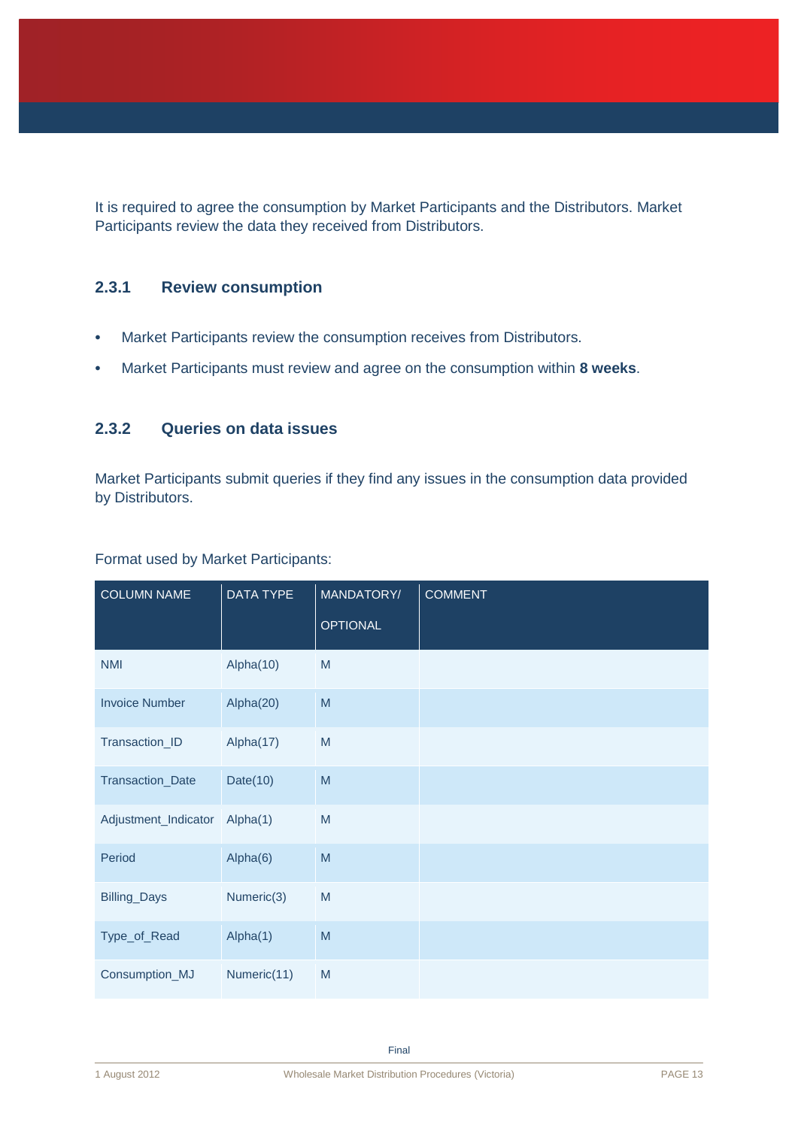It is required to agree the consumption by Market Participants and the Distributors. Market Participants review the data they received from Distributors.

### **2.3.1 Review consumption**

- Market Participants review the consumption receives from Distributors.
- Market Participants must review and agree on the consumption within **8 weeks**.

### **2.3.2 Queries on data issues**

Market Participants submit queries if they find any issues in the consumption data provided by Distributors.

| <b>COLUMN NAME</b>    | <b>DATA TYPE</b> | MANDATORY/      | <b>COMMENT</b> |
|-----------------------|------------------|-----------------|----------------|
|                       |                  | <b>OPTIONAL</b> |                |
| <b>NMI</b>            | Alpha(10)        | M               |                |
| <b>Invoice Number</b> | Alpha(20)        | M               |                |
| Transaction_ID        | Alpha(17)        | ${\sf M}$       |                |
| Transaction_Date      | Date $(10)$      | M               |                |
| Adjustment_Indicator  | Alpha(1)         | ${\sf M}$       |                |
| Period                | Alpha(6)         | M               |                |
| Billing_Days          | Numeric(3)       | M               |                |
| Type_of_Read          | Alpha(1)         | M               |                |
| Consumption_MJ        | Numeric(11)      | M               |                |

Format used by Market Participants: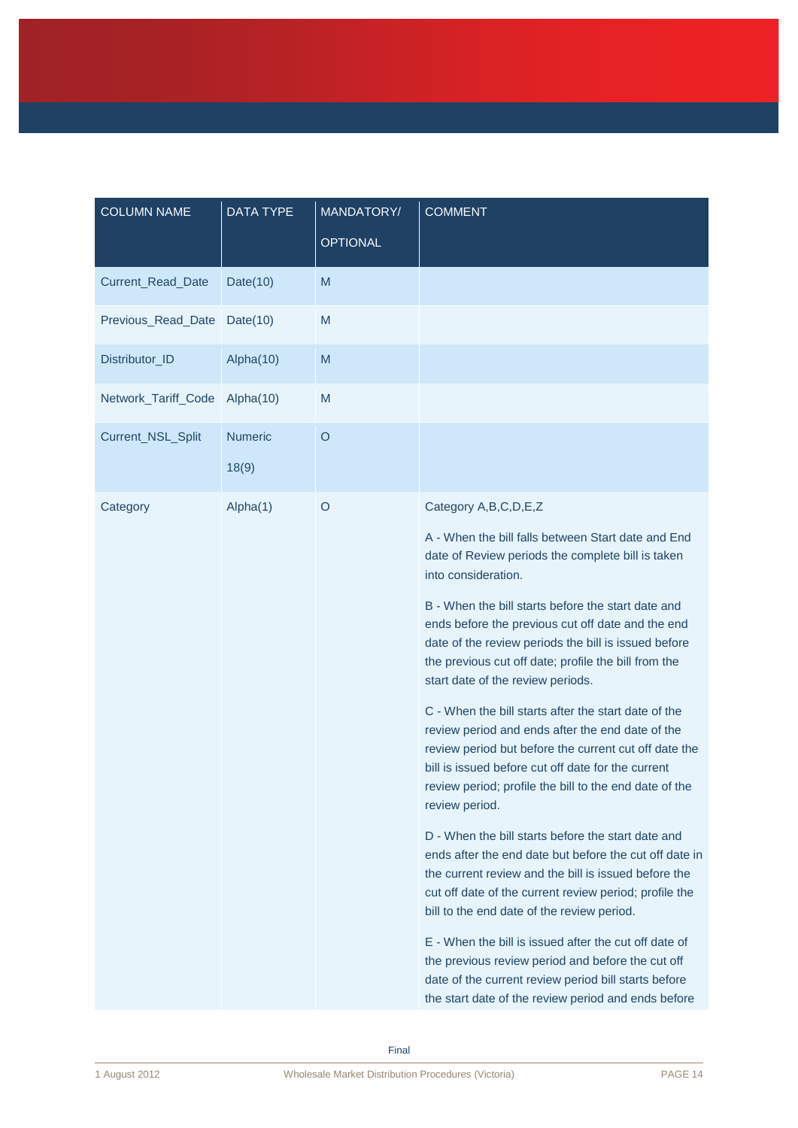| <b>COLUMN NAME</b>  | <b>DATA TYPE</b>        | MANDATORY/<br><b>OPTIONAL</b> | <b>COMMENT</b>                                                                                                                                                                                                                                                                                                                                                                                                                                                                                                                                                                                                                                                                                                                                                                                                                                                                                                                                                                                                                                                                                                                                                                                                                                  |
|---------------------|-------------------------|-------------------------------|-------------------------------------------------------------------------------------------------------------------------------------------------------------------------------------------------------------------------------------------------------------------------------------------------------------------------------------------------------------------------------------------------------------------------------------------------------------------------------------------------------------------------------------------------------------------------------------------------------------------------------------------------------------------------------------------------------------------------------------------------------------------------------------------------------------------------------------------------------------------------------------------------------------------------------------------------------------------------------------------------------------------------------------------------------------------------------------------------------------------------------------------------------------------------------------------------------------------------------------------------|
| Current_Read_Date   | Date $(10)$             | M                             |                                                                                                                                                                                                                                                                                                                                                                                                                                                                                                                                                                                                                                                                                                                                                                                                                                                                                                                                                                                                                                                                                                                                                                                                                                                 |
| Previous_Read_Date  | Date $(10)$             | M                             |                                                                                                                                                                                                                                                                                                                                                                                                                                                                                                                                                                                                                                                                                                                                                                                                                                                                                                                                                                                                                                                                                                                                                                                                                                                 |
| Distributor_ID      | Alpha(10)               | M                             |                                                                                                                                                                                                                                                                                                                                                                                                                                                                                                                                                                                                                                                                                                                                                                                                                                                                                                                                                                                                                                                                                                                                                                                                                                                 |
| Network_Tariff_Code | Alpha(10)               | M                             |                                                                                                                                                                                                                                                                                                                                                                                                                                                                                                                                                                                                                                                                                                                                                                                                                                                                                                                                                                                                                                                                                                                                                                                                                                                 |
| Current_NSL_Split   | <b>Numeric</b><br>18(9) | $\circ$                       |                                                                                                                                                                                                                                                                                                                                                                                                                                                                                                                                                                                                                                                                                                                                                                                                                                                                                                                                                                                                                                                                                                                                                                                                                                                 |
| Category            | Alpha(1)                | $\circ$                       | Category A, B, C, D, E, Z<br>A - When the bill falls between Start date and End<br>date of Review periods the complete bill is taken<br>into consideration.<br>B - When the bill starts before the start date and<br>ends before the previous cut off date and the end<br>date of the review periods the bill is issued before<br>the previous cut off date; profile the bill from the<br>start date of the review periods.<br>C - When the bill starts after the start date of the<br>review period and ends after the end date of the<br>review period but before the current cut off date the<br>bill is issued before cut off date for the current<br>review period; profile the bill to the end date of the<br>review period.<br>D - When the bill starts before the start date and<br>ends after the end date but before the cut off date in<br>the current review and the bill is issued before the<br>cut off date of the current review period; profile the<br>bill to the end date of the review period.<br>E - When the bill is issued after the cut off date of<br>the previous review period and before the cut off<br>date of the current review period bill starts before<br>the start date of the review period and ends before |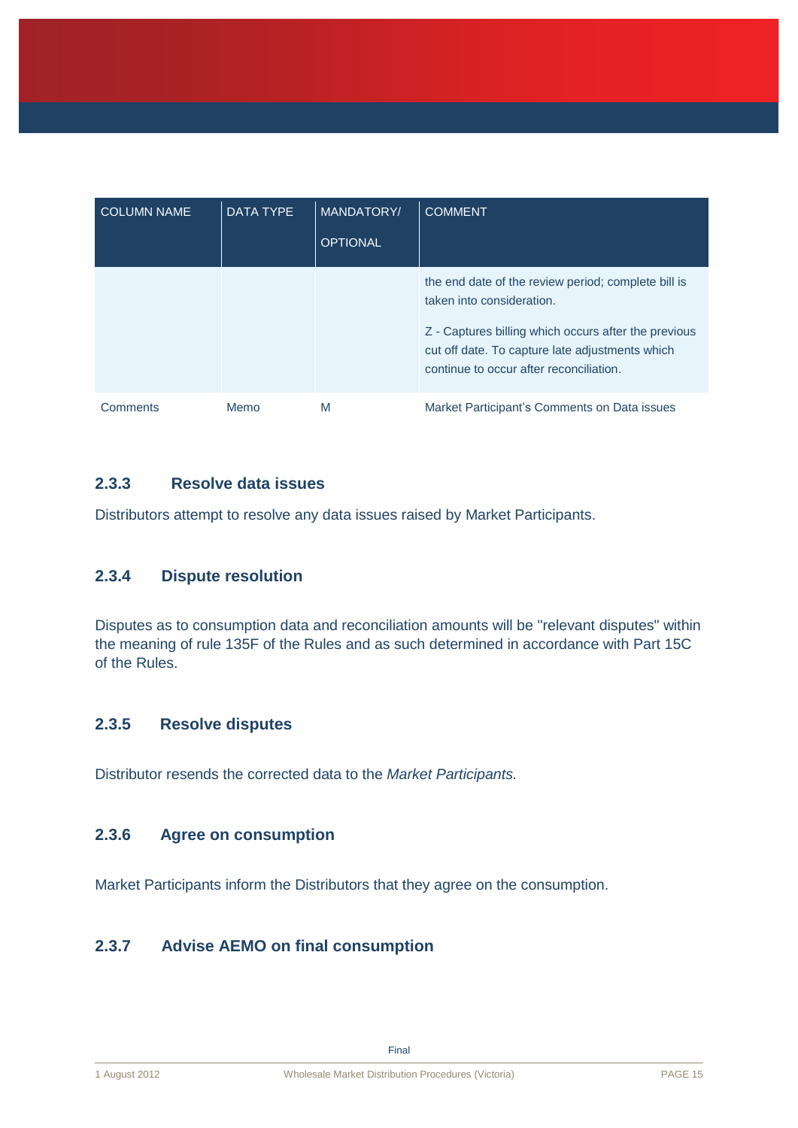| <b>COLUMN NAME</b> | <b>DATA TYPE</b> | <b>MANDATORY/</b><br><b>OPTIONAL</b> | <b>COMMENT</b>                                                                                                                                                                                                                         |
|--------------------|------------------|--------------------------------------|----------------------------------------------------------------------------------------------------------------------------------------------------------------------------------------------------------------------------------------|
|                    |                  |                                      | the end date of the review period; complete bill is<br>taken into consideration.<br>Z - Captures billing which occurs after the previous<br>cut off date. To capture late adjustments which<br>continue to occur after reconciliation. |
| Comments           | Memo             | M                                    | Market Participant's Comments on Data issues                                                                                                                                                                                           |

### **2.3.3 Resolve data issues**

Distributors attempt to resolve any data issues raised by Market Participants.

### **2.3.4 Dispute resolution**

Disputes as to consumption data and reconciliation amounts will be "relevant disputes" within the meaning of rule 135F of the Rules and as such determined in accordance with Part 15C of the Rules.

### **2.3.5 Resolve disputes**

Distributor resends the corrected data to the *Market Participants.*

### **2.3.6 Agree on consumption**

Market Participants inform the Distributors that they agree on the consumption.

### **2.3.7 Advise AEMO on final consumption**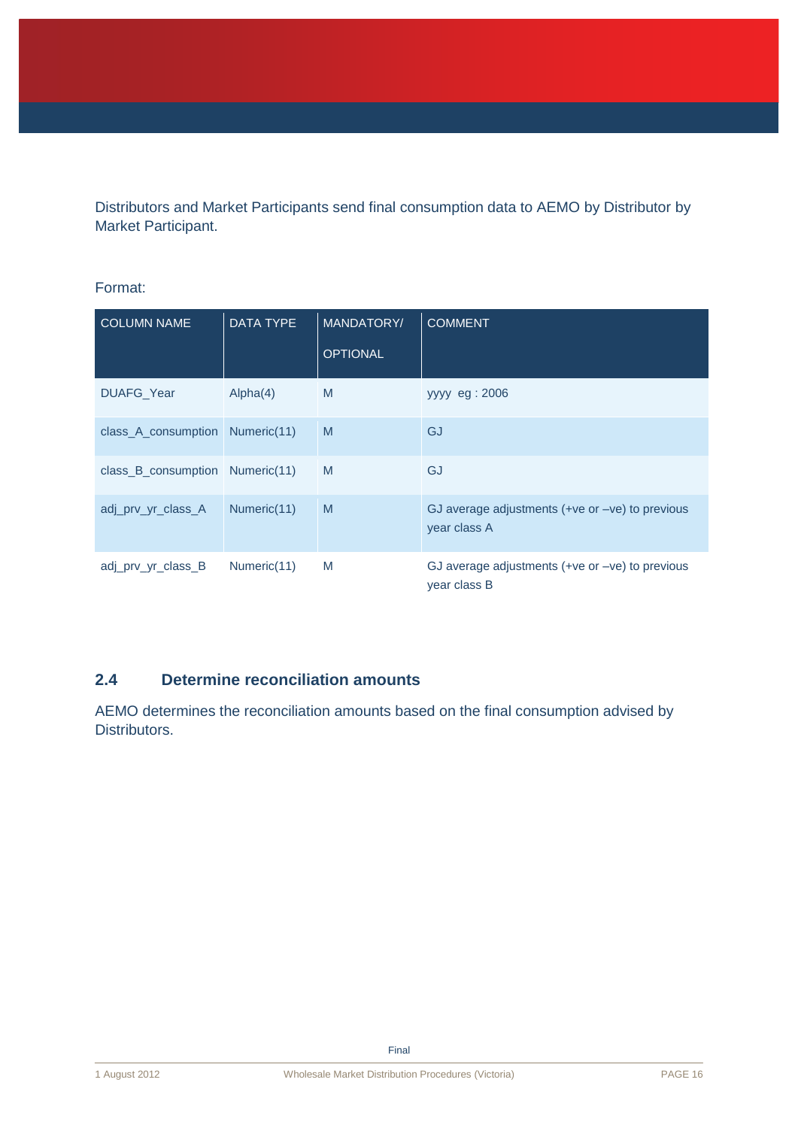Distributors and Market Participants send final consumption data to AEMO by Distributor by Market Participant.

### Format:

| <b>COLUMN NAME</b>              | <b>DATA TYPE</b> | MANDATORY/<br><b>OPTIONAL</b> | <b>COMMENT</b>                                                    |
|---------------------------------|------------------|-------------------------------|-------------------------------------------------------------------|
|                                 |                  |                               |                                                                   |
| DUAFG_Year                      | Alpha(4)         | M                             | yyyy eg: 2006                                                     |
| class_A_consumption Numeric(11) |                  | M                             | GJ                                                                |
| class_B_consumption Numeric(11) |                  | M                             | GJ                                                                |
| adj_prv_yr_class_A              | Numeric(11)      | M                             | GJ average adjustments $(+ve or -ve)$ to previous<br>year class A |
| adj prv yr class B              | Numeric(11)      | M                             | GJ average adjustments $(+ve or -ve)$ to previous<br>year class B |

### <span id="page-18-0"></span>**2.4 Determine reconciliation amounts**

AEMO determines the reconciliation amounts based on the final consumption advised by Distributors.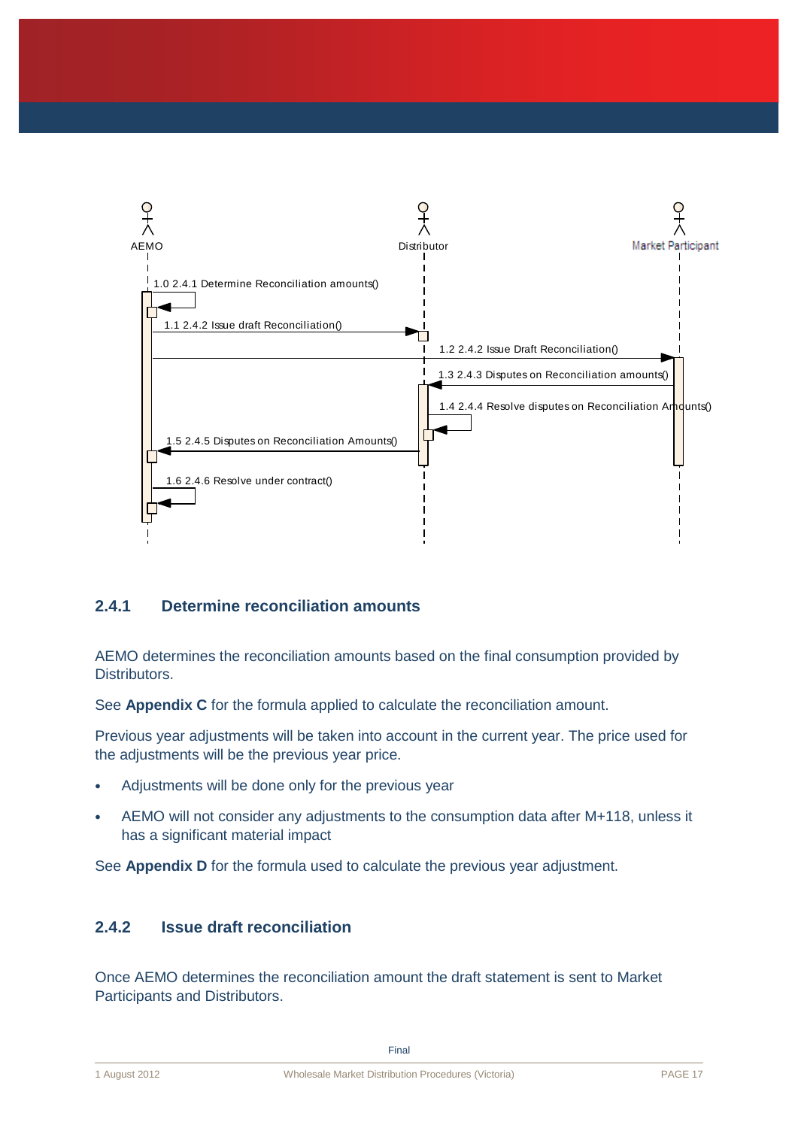

### **2.4.1 Determine reconciliation amounts**

AEMO determines the reconciliation amounts based on the final consumption provided by Distributors.

See **Appendix C** for the formula applied to calculate the reconciliation amount.

Previous year adjustments will be taken into account in the current year. The price used for the adjustments will be the previous year price.

- Adjustments will be done only for the previous year
- AEMO will not consider any adjustments to the consumption data after M+118, unless it has a significant material impact

See **Appendix D** for the formula used to calculate the previous year adjustment.

### **2.4.2 Issue draft reconciliation**

Once AEMO determines the reconciliation amount the draft statement is sent to Market Participants and Distributors.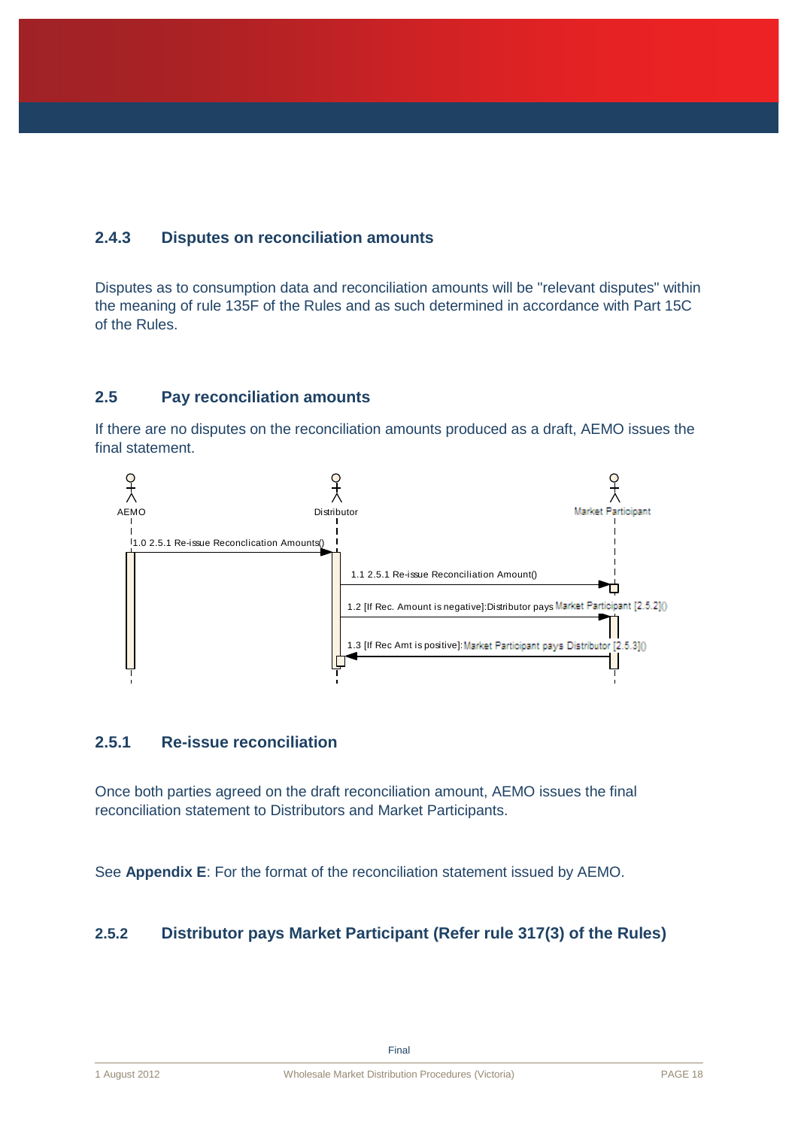### **2.4.3 Disputes on reconciliation amounts**

Disputes as to consumption data and reconciliation amounts will be "relevant disputes" within the meaning of rule 135F of the Rules and as such determined in accordance with Part 15C of the Rules.

### <span id="page-20-0"></span>**2.5 Pay reconciliation amounts**

If there are no disputes on the reconciliation amounts produced as a draft, AEMO issues the final statement.



### **2.5.1 Re-issue reconciliation**

Once both parties agreed on the draft reconciliation amount, AEMO issues the final reconciliation statement to Distributors and Market Participants.

See **Appendix E**: For the format of the reconciliation statement issued by AEMO.

### **2.5.2 Distributor pays Market Participant (Refer rule 317(3) of the Rules)**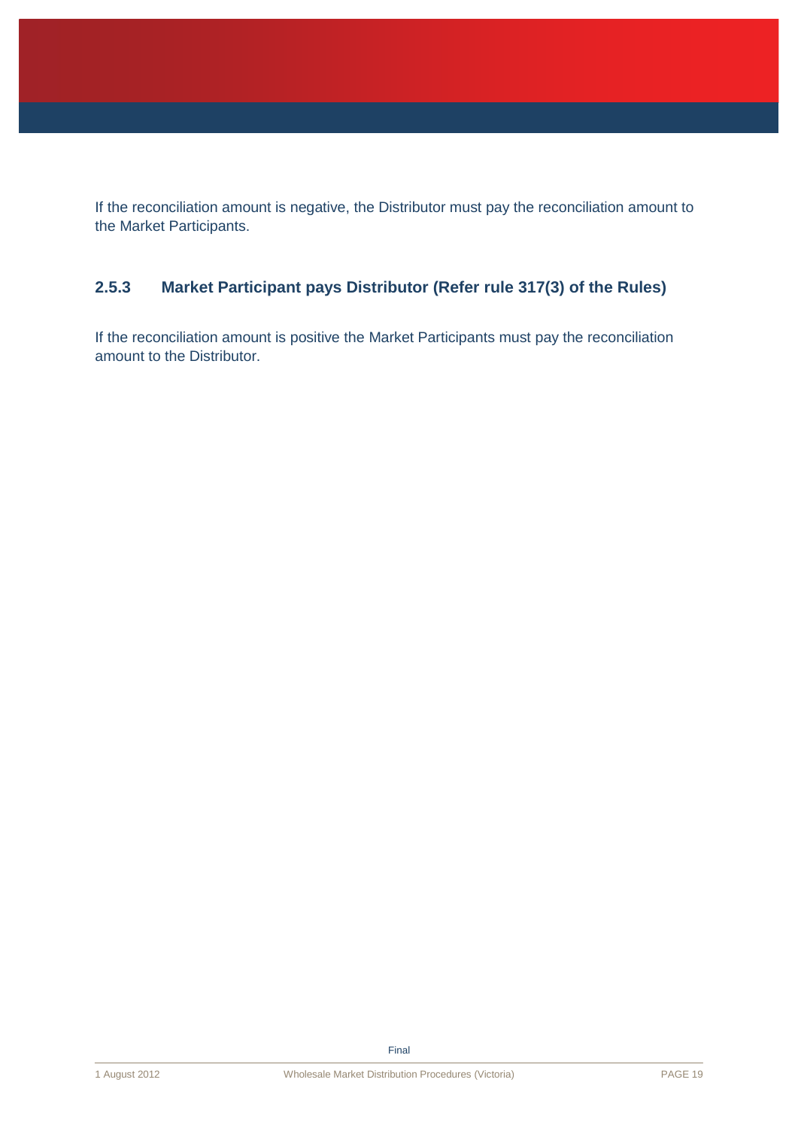If the reconciliation amount is negative, the Distributor must pay the reconciliation amount to the Market Participants.

### **2.5.3 Market Participant pays Distributor (Refer rule 317(3) of the Rules)**

If the reconciliation amount is positive the Market Participants must pay the reconciliation amount to the Distributor.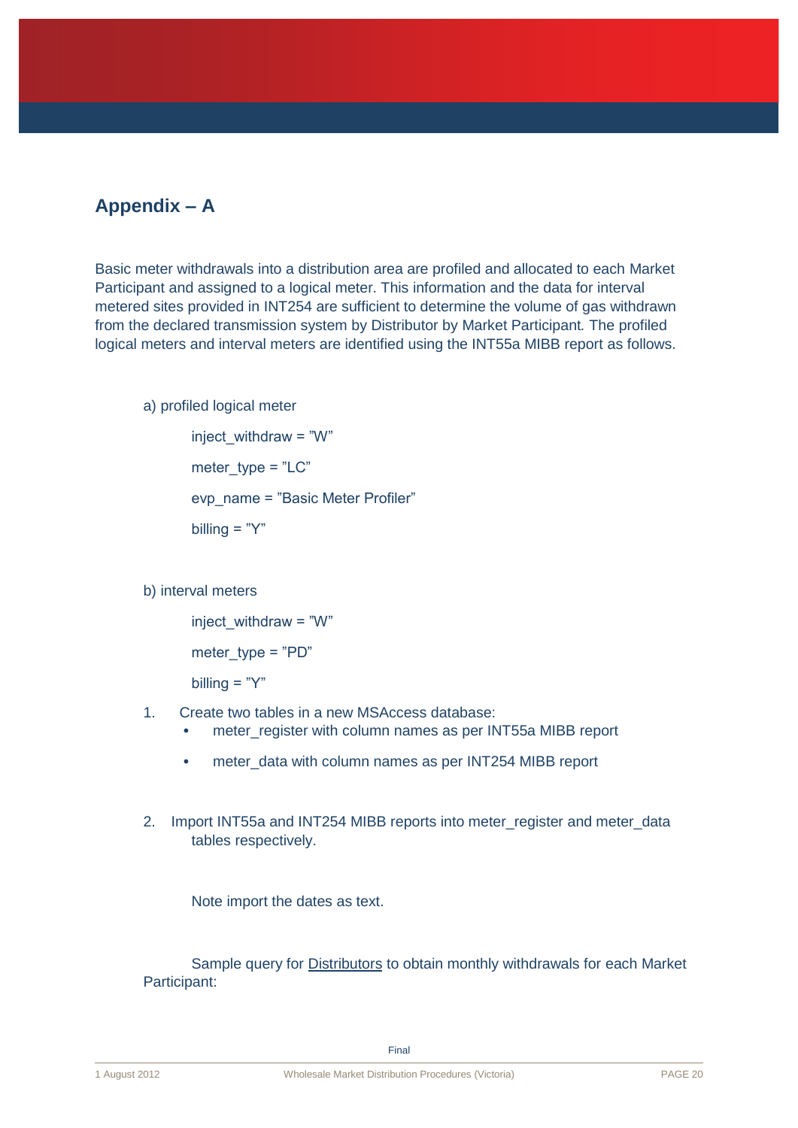## **Appendix – A**

Basic meter withdrawals into a distribution area are profiled and allocated to each Market Participant and assigned to a logical meter. This information and the data for interval metered sites provided in INT254 are sufficient to determine the volume of gas withdrawn from the declared transmission system by Distributor by Market Participant*.* The profiled logical meters and interval meters are identified using the INT55a MIBB report as follows.

### a) profiled logical meter

inject withdraw =  $"W"$ meter  $twoe = "LC"$ evp\_name = "Basic Meter Profiler" billing  $=$  "Y"

b) interval meters

inject\_withdraw = "W" meter  $type = "PD"$ 

billing  $=$  "Y"

- 1. Create two tables in a new MSAccess database:
	- meter\_register with column names as per INT55a MIBB report
	- meter data with column names as per INT254 MIBB report
- 2. Import INT55a and INT254 MIBB reports into meter register and meter data tables respectively.

Note import the dates as text.

Sample query for Distributors to obtain monthly withdrawals for each Market Participant: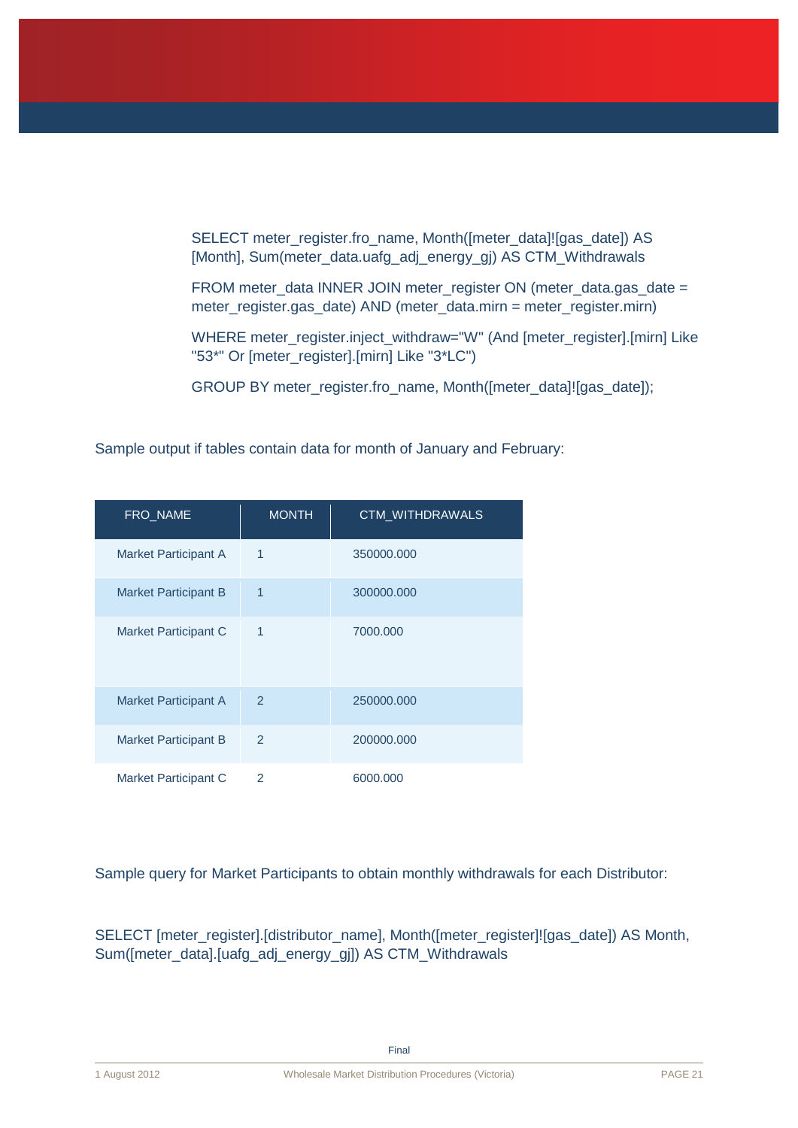SELECT meter\_register.fro\_name, Month([meter\_data]![gas\_date]) AS [Month], Sum(meter\_data.uafg\_adj\_energy\_gj) AS CTM\_Withdrawals

FROM meter\_data INNER JOIN meter\_register ON (meter\_data.gas\_date = meter\_register.gas\_date) AND (meter\_data.mirn = meter\_register.mirn)

WHERE meter\_register.inject\_withdraw="W" (And [meter\_register].[mirn] Like "53\*" Or [meter\_register].[mirn] Like "3\*LC")

GROUP BY meter\_register.fro\_name, Month([meter\_data]![gas\_date]);

Sample output if tables contain data for month of January and February:

| FRO_NAME                    | <b>MONTH</b>  | CTM_WITHDRAWALS |
|-----------------------------|---------------|-----------------|
| Market Participant A        | 1             | 350000.000      |
| <b>Market Participant B</b> | 1             | 300000.000      |
| <b>Market Participant C</b> | 1             | 7000.000        |
| <b>Market Participant A</b> | $\mathcal{P}$ | 250000.000      |
| <b>Market Participant B</b> | $\mathcal{P}$ | 200000.000      |
| Market Participant C        | 2             | 6000.000        |

Sample query for Market Participants to obtain monthly withdrawals for each Distributor:

SELECT [meter\_register].[distributor\_name], Month([meter\_register]![gas\_date]) AS Month, Sum([meter\_data].[uafg\_adj\_energy\_gj]) AS CTM\_Withdrawals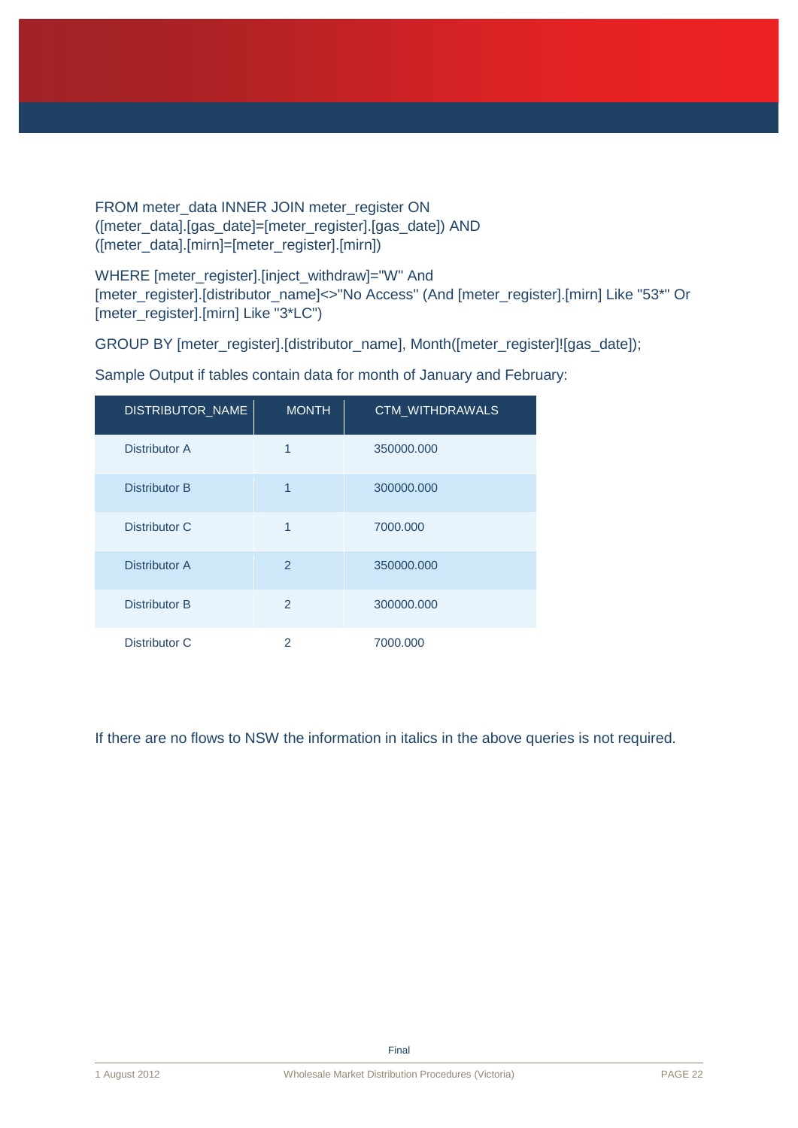FROM meter\_data INNER JOIN meter\_register ON ([meter\_data].[gas\_date]=[meter\_register].[gas\_date]) AND ([meter\_data].[mirn]=[meter\_register].[mirn])

WHERE [meter\_register].[inject\_withdraw]="W" And [meter\_register].[distributor\_name]<>"No Access" (And [meter\_register].[mirn] Like "53\*" Or [meter\_register].[mirn] Like "3\*LC")

GROUP BY [meter\_register].[distributor\_name], Month([meter\_register]![gas\_date]);

| DISTRIBUTOR_NAME | <b>MONTH</b>   | CTM_WITHDRAWALS |
|------------------|----------------|-----------------|
| Distributor A    | 1              | 350000.000      |
| Distributor B    | 1              | 300000.000      |
| Distributor C    | 1              | 7000.000        |
| Distributor A    | $\mathcal{P}$  | 350000.000      |
| Distributor B    | $\mathfrak{p}$ | 300000.000      |
| Distributor C    | 2              | 7000.000        |

Sample Output if tables contain data for month of January and February:

If there are no flows to NSW the information in italics in the above queries is not required.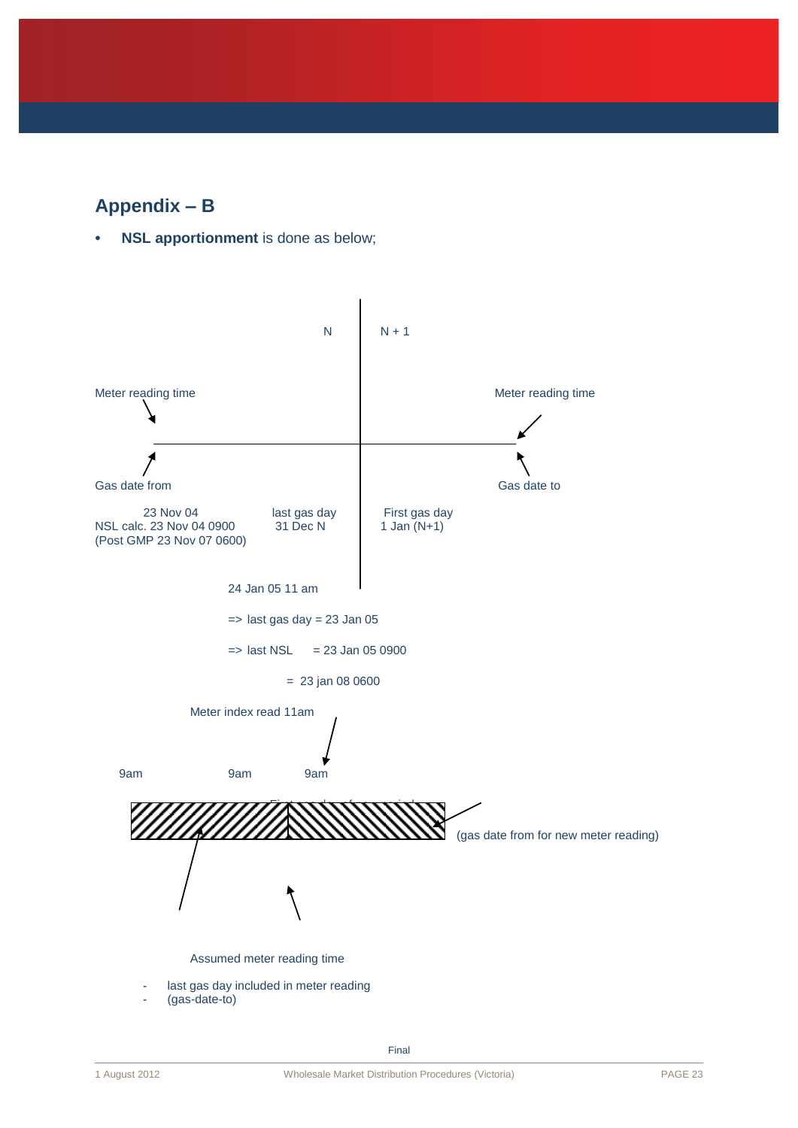# **Appendix – B**

**NSL apportionment** is done as below;

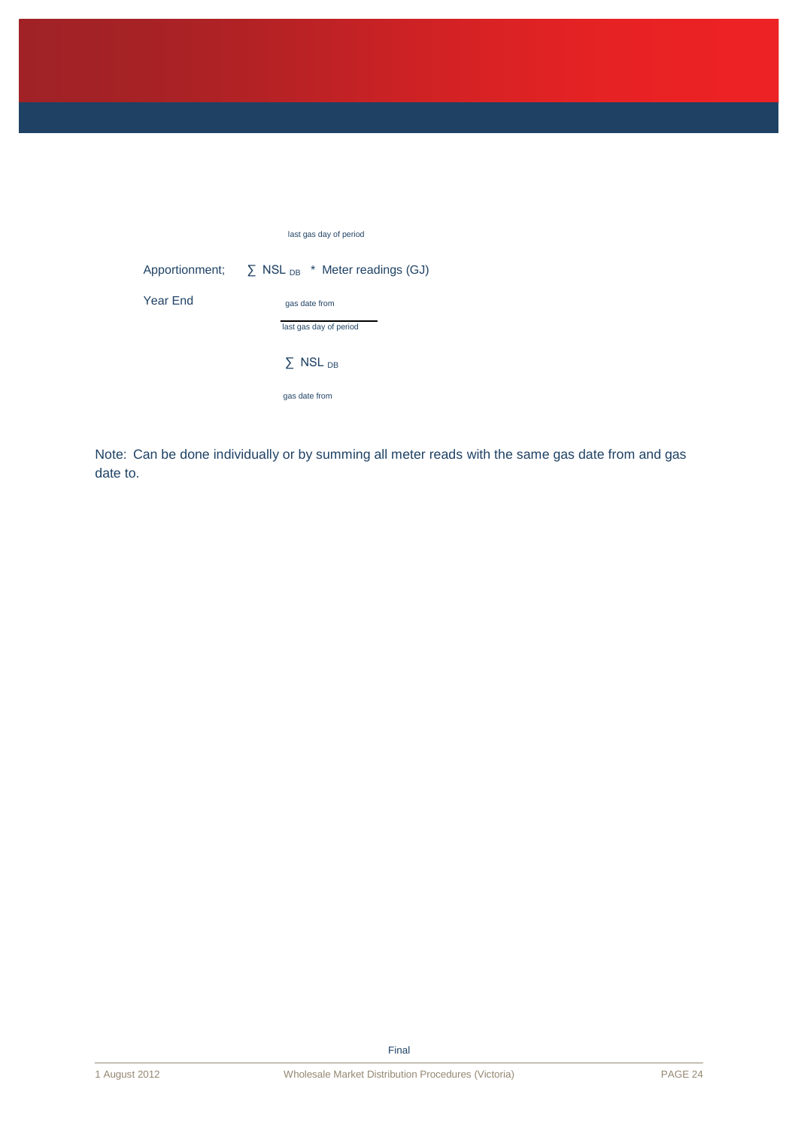|          | last gas day of period                                        |  |
|----------|---------------------------------------------------------------|--|
|          | Apportionment; $\sum$ NSL <sub>DB</sub> * Meter readings (GJ) |  |
| Year End | gas date from                                                 |  |
|          | last gas day of period                                        |  |
|          | $\Sigma$ NSL <sub>DB</sub>                                    |  |
|          | gas date from                                                 |  |

Note: Can be done individually or by summing all meter reads with the same gas date from and gas date to.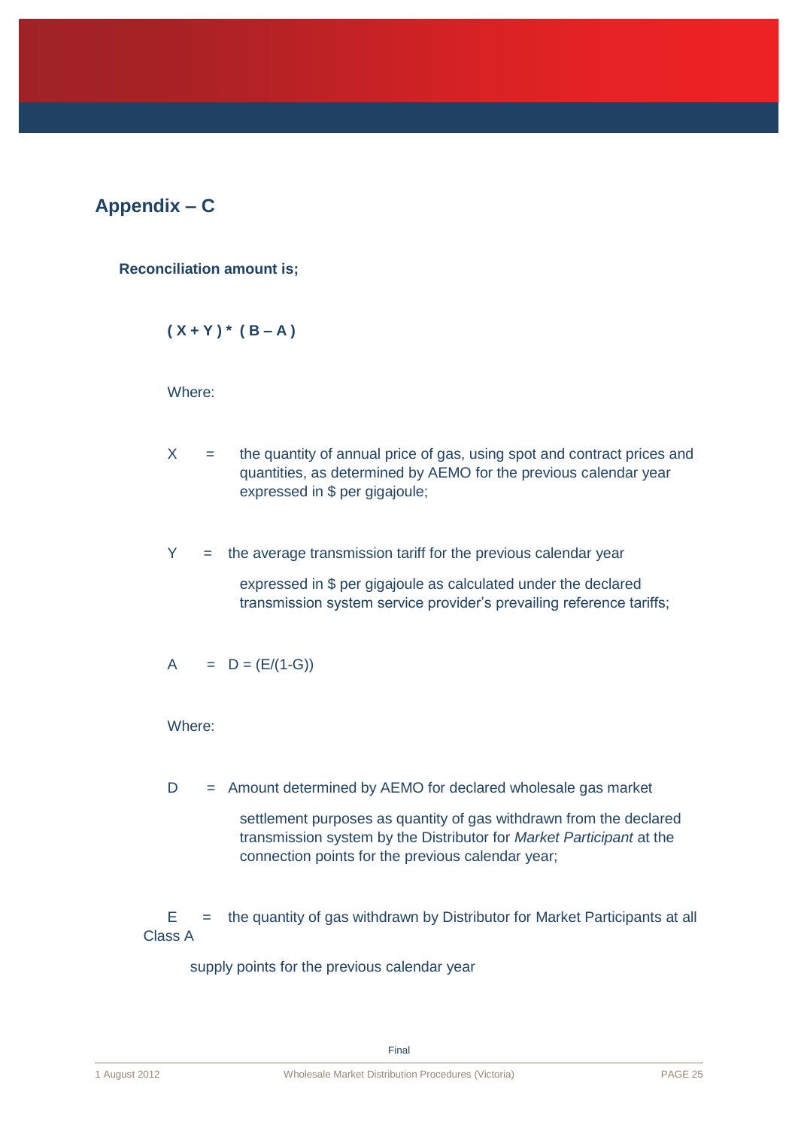# **Appendix – C**

**Reconciliation amount is;**

$$
(X+Y) * (B-A)
$$

Where:

- $X =$  the quantity of annual price of gas, using spot and contract prices and quantities, as determined by AEMO for the previous calendar year expressed in \$ per gigajoule;
- $Y =$  the average transmission tariff for the previous calendar year

expressed in \$ per gigajoule as calculated under the declared transmission system service provider's prevailing reference tariffs;

$$
A = D = (E/(1 - G))
$$

Where:

D = Amount determined by AEMO for declared wholesale gas market

settlement purposes as quantity of gas withdrawn from the declared transmission system by the Distributor for *Market Participant* at the connection points for the previous calendar year;

 $E$  = the quantity of gas withdrawn by Distributor for Market Participants at all Class A

supply points for the previous calendar year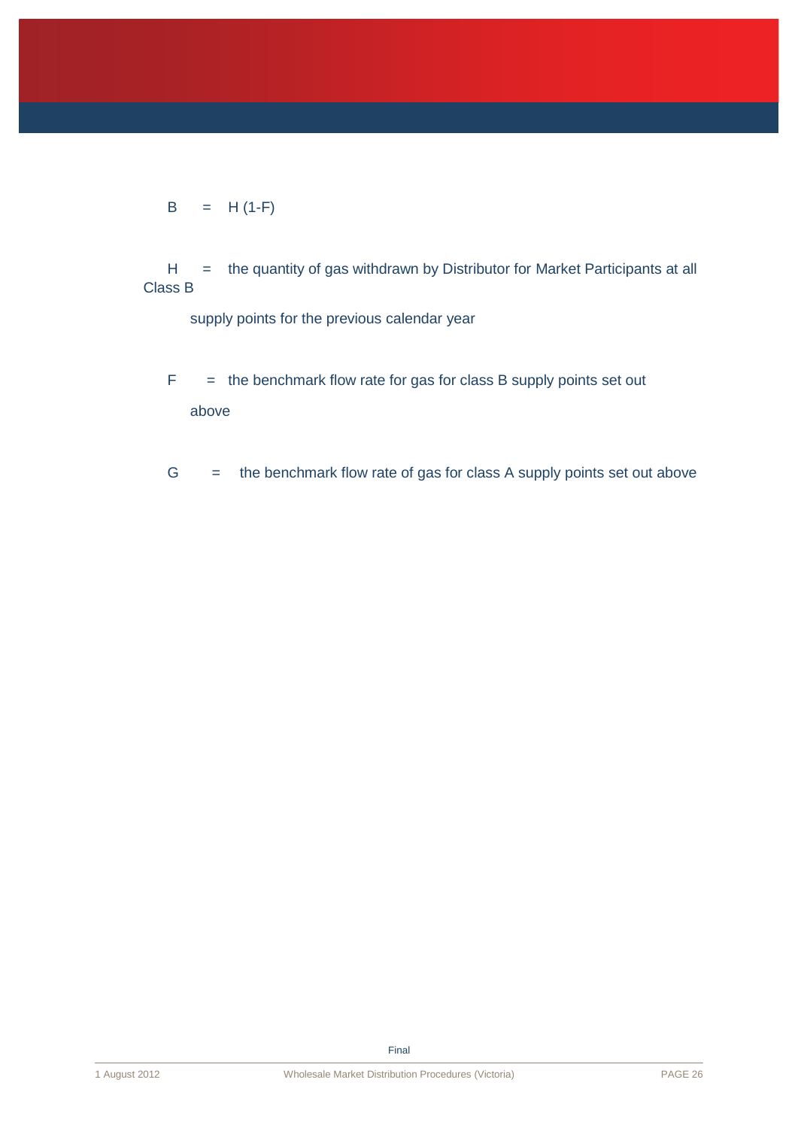$$
B = H (1-F)
$$

H = the quantity of gas withdrawn by Distributor for Market Participants at all Class B

supply points for the previous calendar year

- $F =$  the benchmark flow rate for gas for class B supply points set out above
- $G =$  the benchmark flow rate of gas for class A supply points set out above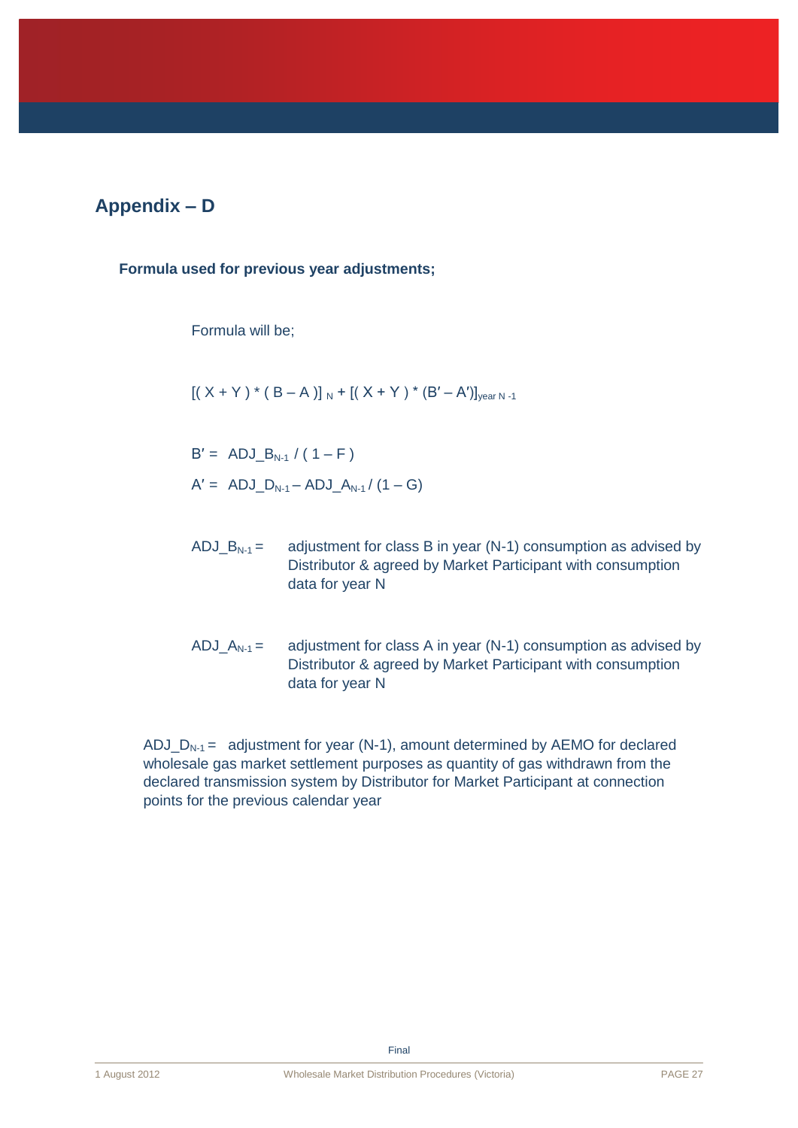# **Appendix – D**

**Formula used for previous year adjustments;**

Formula will be;

 $[( X + Y) * ( B - A) ]_{N} + [( X + Y) * (B' - A')]_{\text{year }N-1}$ 

 $B' = ADJ \cdot B_{N-1} / (1 - F)$  $A' = ADJ D_{N-1} - ADJ A_{N-1} / (1 - G)$ 

- ADJ\_B<sub>N-1</sub> = adjustment for class B in year (N-1) consumption as advised by Distributor & agreed by Market Participant with consumption data for year N
- ADJ\_ $A_{N-1}$  = adjustment for class A in year (N-1) consumption as advised by Distributor & agreed by Market Participant with consumption data for year N

ADJ  $D_{N-1}$  = adjustment for year (N-1), amount determined by AEMO for declared wholesale gas market settlement purposes as quantity of gas withdrawn from the declared transmission system by Distributor for Market Participant at connection points for the previous calendar year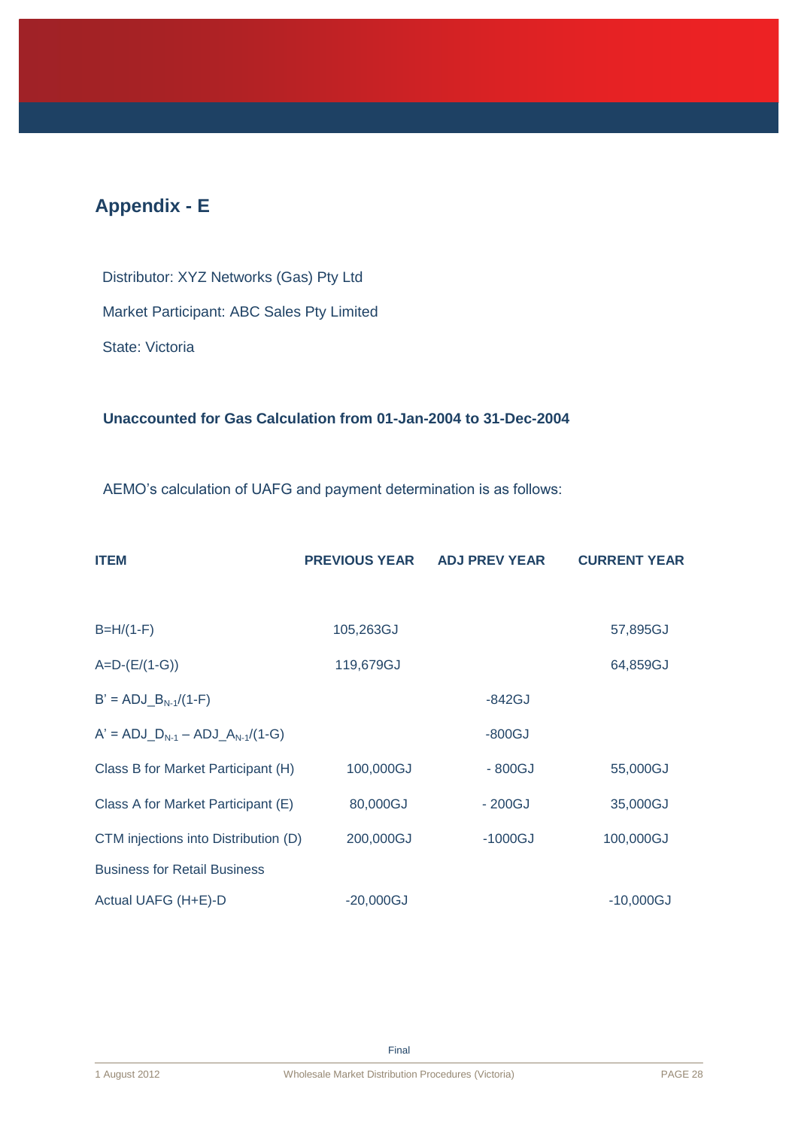# **Appendix - E**

 Distributor: XYZ Networks (Gas) Pty Ltd Market Participant: ABC Sales Pty Limited State: Victoria

### **Unaccounted for Gas Calculation from 01-Jan-2004 to 31-Dec-2004**

AEMO's calculation of UAFG and payment determination is as follows:

| <b>ITEM</b>                            | <b>PREVIOUS YEAR</b> | <b>ADJ PREV YEAR</b> | <b>CURRENT YEAR</b> |
|----------------------------------------|----------------------|----------------------|---------------------|
|                                        |                      |                      |                     |
| $B=H/(1-F)$                            | 105,263GJ            |                      | 57,895GJ            |
| $A=D-(E/(1-G))$                        | 119,679GJ            |                      | 64,859GJ            |
| $B' = ADJ_BN-1/(1-F)$                  |                      | $-842GJ$             |                     |
| $A' = ADJ_D_{N-1} - ADJ_A_{N-1}/(1-G)$ |                      | $-800GJ$             |                     |
| Class B for Market Participant (H)     | 100,000GJ            | $-800GJ$             | 55,000GJ            |
| Class A for Market Participant (E)     | 80,000GJ             | $-200GJ$             | 35,000GJ            |
| CTM injections into Distribution (D)   | 200,000GJ            | $-1000GJ$            | 100,000GJ           |
| <b>Business for Retail Business</b>    |                      |                      |                     |
| Actual UAFG (H+E)-D                    | $-20,000GJ$          |                      | $-10,000GJ$         |